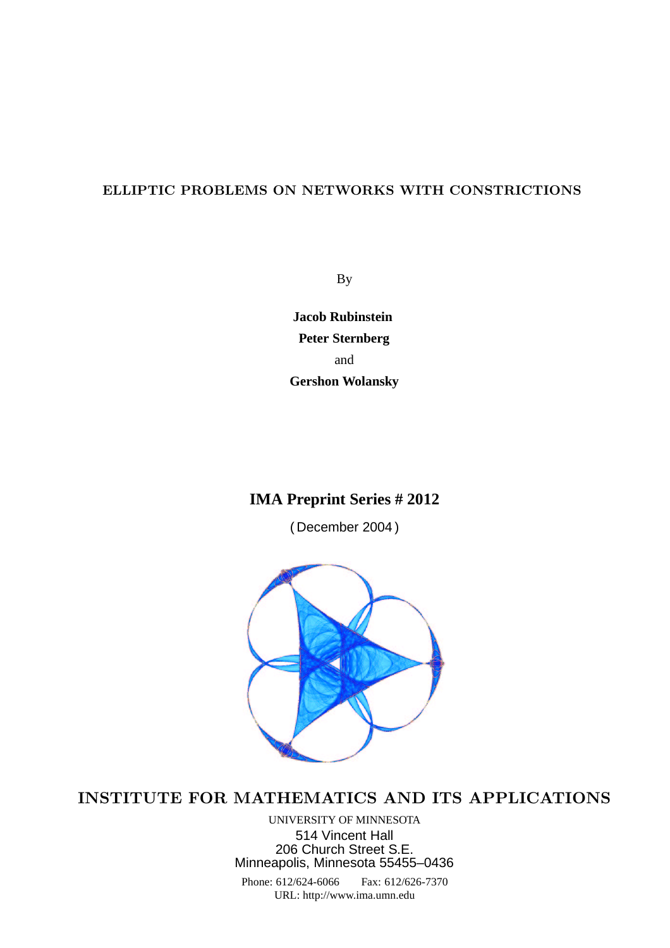#### ELLIPTIC PROBLEMS ON NETWORKS WITH CONSTRICTIONS

By

**Jacob Rubinstein Peter Sternberg** and **Gershon Wolansky**

### **IMA Preprint Series # 2012**

( December 2004 )



### INSTITUTE FOR MATHEMATICS AND ITS APPLICATIONS

UNIVERSITY OF MINNESOTA 514 Vincent Hall 206 Church Street S.E. Minneapolis, Minnesota 55455–0436

Phone: 612/624-6066 Fax: 612/626-7370 URL: http://www.ima.umn.edu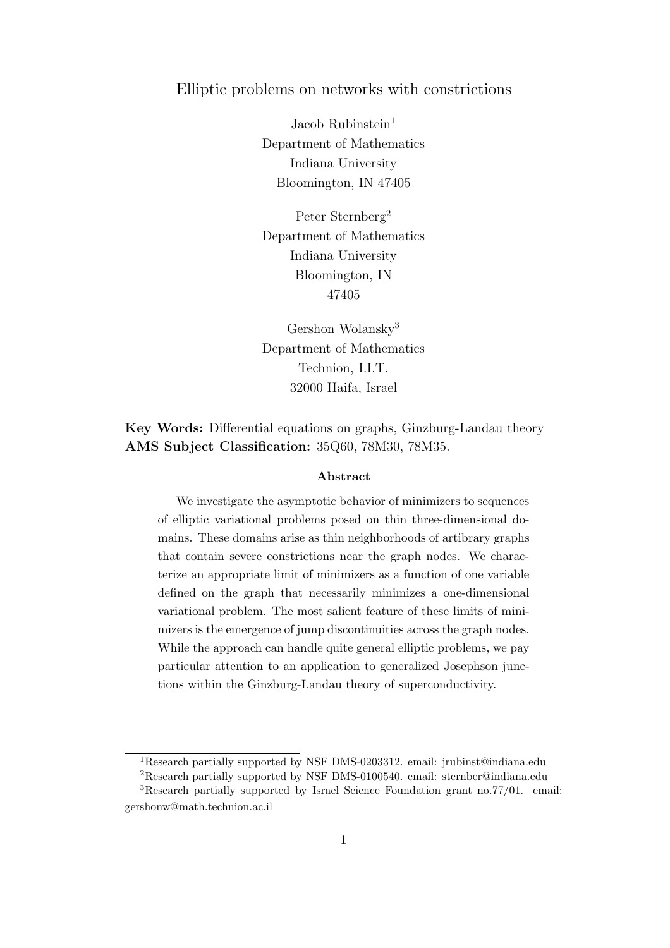#### Elliptic problems on networks with constrictions

Jacob Rubinstein<sup>1</sup> Department of Mathematics Indiana University Bloomington, IN 47405

Peter Sternberg<sup>2</sup> Department of Mathematics Indiana University Bloomington, IN 47405

Gershon Wolansky<sup>3</sup> Department of Mathematics Technion, I.I.T. 32000 Haifa, Israel

**Key Words:** Differential equations on graphs, Ginzburg-Landau theory **AMS Subject Classification:** 35Q60, 78M30, 78M35.

#### **Abstract**

We investigate the asymptotic behavior of minimizers to sequences of elliptic variational problems posed on thin three-dimensional domains. These domains arise as thin neighborhoods of artibrary graphs that contain severe constrictions near the graph nodes. We characterize an appropriate limit of minimizers as a function of one variable defined on the graph that necessarily minimizes a one-dimensional variational problem. The most salient feature of these limits of minimizers is the emergence of jump discontinuities across the graph nodes. While the approach can handle quite general elliptic problems, we pay particular attention to an application to generalized Josephson junctions within the Ginzburg-Landau theory of superconductivity.

<sup>1</sup>Research partially supported by NSF DMS-0203312. email: jrubinst@indiana.edu

<sup>2</sup>Research partially supported by NSF DMS-0100540. email: sternber@indiana.edu

<sup>3</sup>Research partially supported by Israel Science Foundation grant no.77/01. email: gershonw@math.technion.ac.il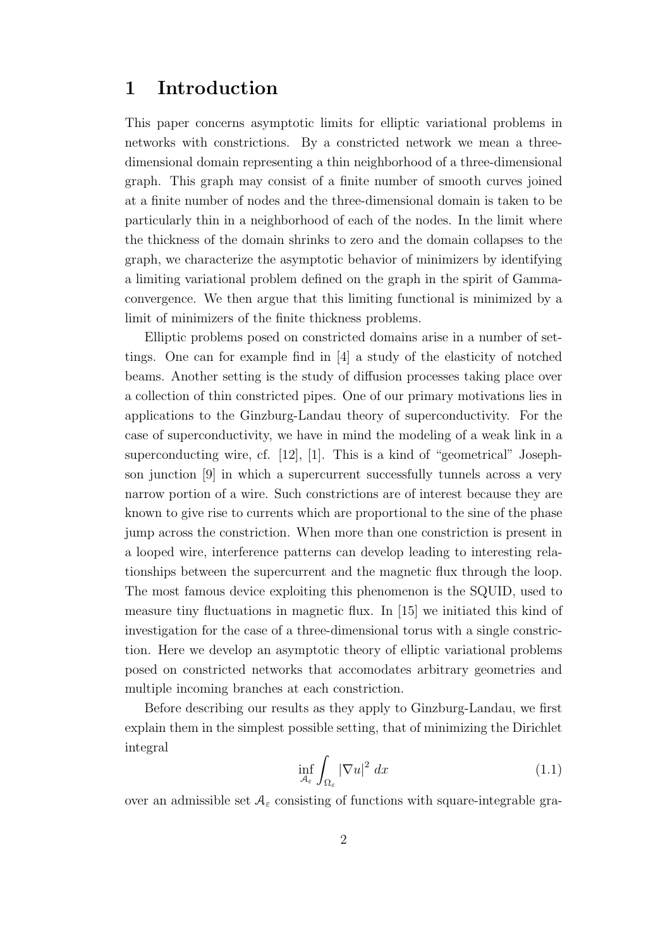## **1 Introduction**

This paper concerns asymptotic limits for elliptic variational problems in networks with constrictions. By a constricted network we mean a threedimensional domain representing a thin neighborhood of a three-dimensional graph. This graph may consist of a finite number of smooth curves joined at a finite number of nodes and the three-dimensional domain is taken to be particularly thin in a neighborhood of each of the nodes. In the limit where the thickness of the domain shrinks to zero and the domain collapses to the graph, we characterize the asymptotic behavior of minimizers by identifying a limiting variational problem defined on the graph in the spirit of Gammaconvergence. We then argue that this limiting functional is minimized by a limit of minimizers of the finite thickness problems.

Elliptic problems posed on constricted domains arise in a number of settings. One can for example find in [4] a study of the elasticity of notched beams. Another setting is the study of diffusion processes taking place over a collection of thin constricted pipes. One of our primary motivations lies in applications to the Ginzburg-Landau theory of superconductivity. For the case of superconductivity, we have in mind the modeling of a weak link in a superconducting wire, cf. [12], [1]. This is a kind of "geometrical" Josephson junction [9] in which a supercurrent successfully tunnels across a very narrow portion of a wire. Such constrictions are of interest because they are known to give rise to currents which are proportional to the sine of the phase jump across the constriction. When more than one constriction is present in a looped wire, interference patterns can develop leading to interesting relationships between the supercurrent and the magnetic flux through the loop. The most famous device exploiting this phenomenon is the SQUID, used to measure tiny fluctuations in magnetic flux. In [15] we initiated this kind of investigation for the case of a three-dimensional torus with a single constriction. Here we develop an asymptotic theory of elliptic variational problems posed on constricted networks that accomodates arbitrary geometries and multiple incoming branches at each constriction.

Before describing our results as they apply to Ginzburg-Landau, we first explain them in the simplest possible setting, that of minimizing the Dirichlet integral

$$
\inf_{\mathcal{A}_{\varepsilon}} \int_{\Omega_{\varepsilon}} |\nabla u|^2 \ dx \tag{1.1}
$$

over an admissible set  $A_{\varepsilon}$  consisting of functions with square-integrable gra-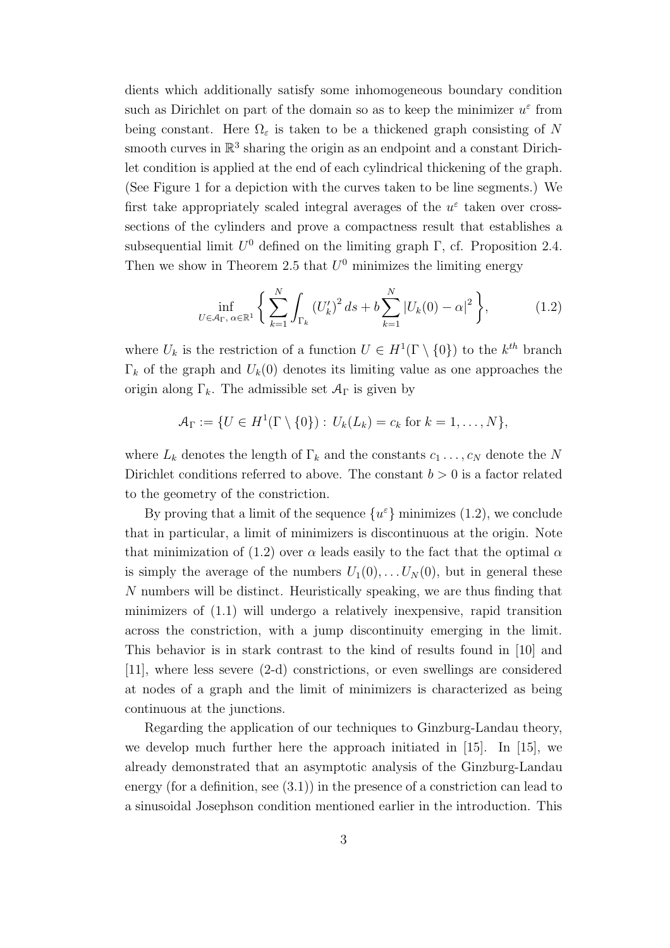dients which additionally satisfy some inhomogeneous boundary condition such as Dirichlet on part of the domain so as to keep the minimizer  $u^{\varepsilon}$  from being constant. Here  $\Omega_{\varepsilon}$  is taken to be a thickened graph consisting of N smooth curves in  $\mathbb{R}^3$  sharing the origin as an endpoint and a constant Dirichlet condition is applied at the end of each cylindrical thickening of the graph. (See Figure 1 for a depiction with the curves taken to be line segments.) We first take appropriately scaled integral averages of the  $u^{\varepsilon}$  taken over crosssections of the cylinders and prove a compactness result that establishes a subsequential limit  $U^0$  defined on the limiting graph Γ, cf. Proposition 2.4. Then we show in Theorem 2.5 that  $U^0$  minimizes the limiting energy

$$
\inf_{U \in \mathcal{A}_{\Gamma}} \left\{ \sum_{k=1}^{N} \int_{\Gamma_k} \left( U'_k \right)^2 ds + b \sum_{k=1}^{N} \left| U_k(0) - \alpha \right|^2 \right\},\tag{1.2}
$$

where  $U_k$  is the restriction of a function  $U \in H^1(\Gamma \setminus \{0\})$  to the  $k^{th}$  branch  $\Gamma_k$  of the graph and  $U_k(0)$  denotes its limiting value as one approaches the origin along  $\Gamma_k$ . The admissible set  $\mathcal{A}_{\Gamma}$  is given by

$$
\mathcal{A}_{\Gamma} := \{ U \in H^1(\Gamma \setminus \{0\}) : U_k(L_k) = c_k \text{ for } k = 1, \ldots, N \},
$$

where  $L_k$  denotes the length of  $\Gamma_k$  and the constants  $c_1 \ldots, c_N$  denote the N Dirichlet conditions referred to above. The constant  $b > 0$  is a factor related to the geometry of the constriction.

By proving that a limit of the sequence  $\{u^{\varepsilon}\}\$ minimizes (1.2), we conclude that in particular, a limit of minimizers is discontinuous at the origin. Note that minimization of (1.2) over  $\alpha$  leads easily to the fact that the optimal  $\alpha$ is simply the average of the numbers  $U_1(0), \ldots U_N(0)$ , but in general these N numbers will be distinct. Heuristically speaking, we are thus finding that minimizers of (1.1) will undergo a relatively inexpensive, rapid transition across the constriction, with a jump discontinuity emerging in the limit. This behavior is in stark contrast to the kind of results found in [10] and [11], where less severe (2-d) constrictions, or even swellings are considered at nodes of a graph and the limit of minimizers is characterized as being continuous at the junctions.

Regarding the application of our techniques to Ginzburg-Landau theory, we develop much further here the approach initiated in [15]. In [15], we already demonstrated that an asymptotic analysis of the Ginzburg-Landau energy (for a definition, see (3.1)) in the presence of a constriction can lead to a sinusoidal Josephson condition mentioned earlier in the introduction. This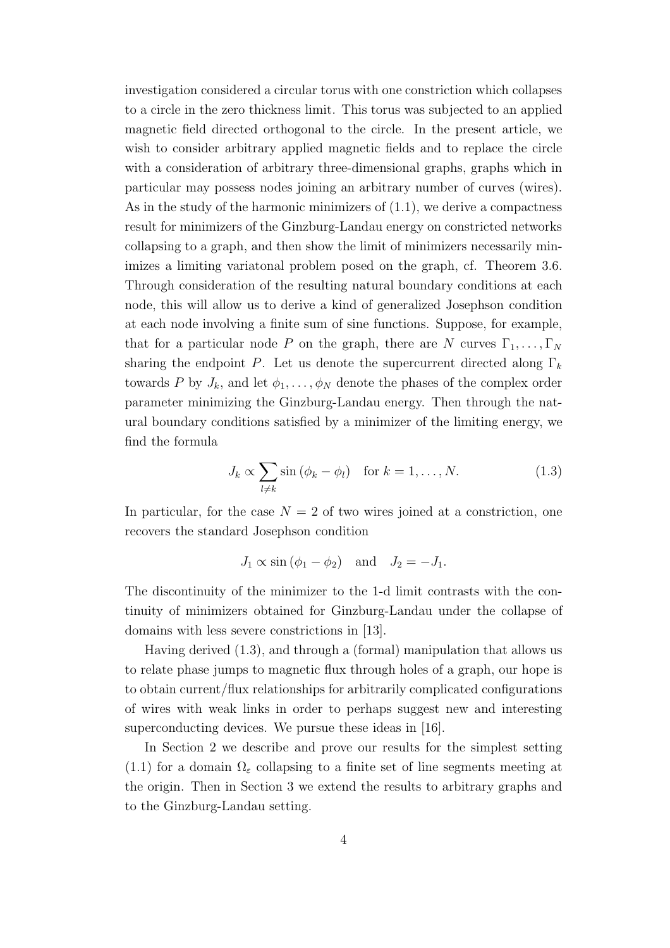investigation considered a circular torus with one constriction which collapses to a circle in the zero thickness limit. This torus was subjected to an applied magnetic field directed orthogonal to the circle. In the present article, we wish to consider arbitrary applied magnetic fields and to replace the circle with a consideration of arbitrary three-dimensional graphs, graphs which in particular may possess nodes joining an arbitrary number of curves (wires). As in the study of the harmonic minimizers of  $(1.1)$ , we derive a compactness result for minimizers of the Ginzburg-Landau energy on constricted networks collapsing to a graph, and then show the limit of minimizers necessarily minimizes a limiting variatonal problem posed on the graph, cf. Theorem 3.6. Through consideration of the resulting natural boundary conditions at each node, this will allow us to derive a kind of generalized Josephson condition at each node involving a finite sum of sine functions. Suppose, for example, that for a particular node P on the graph, there are N curves  $\Gamma_1, \ldots, \Gamma_N$ sharing the endpoint P. Let us denote the supercurrent directed along  $\Gamma_k$ towards P by  $J_k$ , and let  $\phi_1, \ldots, \phi_N$  denote the phases of the complex order parameter minimizing the Ginzburg-Landau energy. Then through the natural boundary conditions satisfied by a minimizer of the limiting energy, we find the formula

$$
J_k \propto \sum_{l \neq k} \sin (\phi_k - \phi_l) \quad \text{for } k = 1, \dots, N. \tag{1.3}
$$

In particular, for the case  $N = 2$  of two wires joined at a constriction, one recovers the standard Josephson condition

$$
J_1 \propto \sin (\phi_1 - \phi_2) \quad \text{and} \quad J_2 = -J_1.
$$

The discontinuity of the minimizer to the 1-d limit contrasts with the continuity of minimizers obtained for Ginzburg-Landau under the collapse of domains with less severe constrictions in [13].

Having derived (1.3), and through a (formal) manipulation that allows us to relate phase jumps to magnetic flux through holes of a graph, our hope is to obtain current/flux relationships for arbitrarily complicated configurations of wires with weak links in order to perhaps suggest new and interesting superconducting devices. We pursue these ideas in [16].

In Section 2 we describe and prove our results for the simplest setting (1.1) for a domain  $\Omega_{\varepsilon}$  collapsing to a finite set of line segments meeting at the origin. Then in Section 3 we extend the results to arbitrary graphs and to the Ginzburg-Landau setting.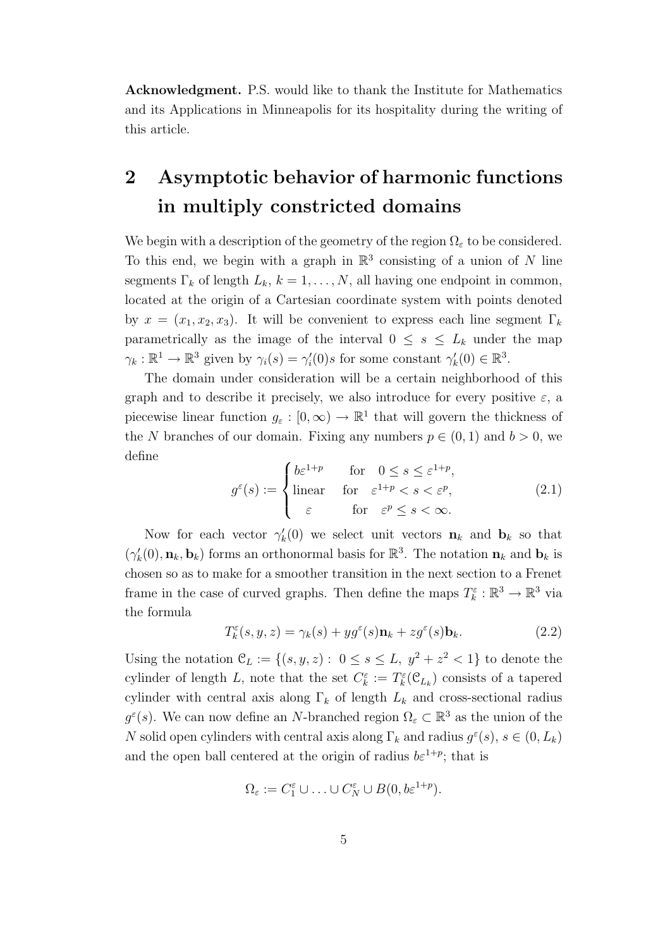**Acknowledgment.** P.S. would like to thank the Institute for Mathematics and its Applications in Minneapolis for its hospitality during the writing of this article.

# **2 Asymptotic behavior of harmonic functions in multiply constricted domains**

We begin with a description of the geometry of the region  $\Omega_{\varepsilon}$  to be considered. To this end, we begin with a graph in  $\mathbb{R}^3$  consisting of a union of N line segments  $\Gamma_k$  of length  $L_k$ ,  $k = 1, \ldots, N$ , all having one endpoint in common, located at the origin of a Cartesian coordinate system with points denoted by  $x = (x_1, x_2, x_3)$ . It will be convenient to express each line segment  $\Gamma_k$ parametrically as the image of the interval  $0 \leq s \leq L_k$  under the map  $\gamma_k : \mathbb{R}^1 \to \mathbb{R}^3$  given by  $\gamma_i(s) = \gamma'_i(0) s$  for some constant  $\gamma'_k(0) \in \mathbb{R}^3$ .

The domain under consideration will be a certain neighborhood of this graph and to describe it precisely, we also introduce for every positive  $\varepsilon$ , a piecewise linear function  $g_{\varepsilon} : [0, \infty) \to \mathbb{R}^1$  that will govern the thickness of the N branches of our domain. Fixing any numbers  $p \in (0, 1)$  and  $b > 0$ , we define

$$
g^{\varepsilon}(s) := \begin{cases} b\varepsilon^{1+p} & \text{for } 0 \le s \le \varepsilon^{1+p}, \\ \text{linear} & \text{for } \varepsilon^{1+p} < s < \varepsilon^p, \\ \varepsilon & \text{for } \varepsilon^p \le s < \infty. \end{cases} \tag{2.1}
$$

Now for each vector  $\gamma'_k(0)$  we select unit vectors **n**<sub>k</sub> and **b**<sub>k</sub> so that  $(\gamma'_k(0), \mathbf{n}_k, \mathbf{b}_k)$  forms an orthonormal basis for  $\mathbb{R}^3$ . The notation  $\mathbf{n}_k$  and  $\mathbf{b}_k$  is chosen so as to make for a smoother transition in the next section to a Frenet frame in the case of curved graphs. Then define the maps  $T_k^{\varepsilon} : \mathbb{R}^3 \to \mathbb{R}^3$  via the formula

$$
T_k^{\varepsilon}(s, y, z) = \gamma_k(s) + yg^{\varepsilon}(s)\mathbf{n}_k + zg^{\varepsilon}(s)\mathbf{b}_k.
$$
 (2.2)

Using the notation  $\mathcal{C}_L := \{(s, y, z): 0 \le s \le L, y^2 + z^2 < 1\}$  to denote the cylinder of length L, note that the set  $C_k^{\varepsilon} := T_k^{\varepsilon}(\mathcal{C}_{L_k})$  consists of a tapered cylinder with central axis along  $\Gamma_k$  of length  $L_k$  and cross-sectional radius  $g^{\varepsilon}(s)$ . We can now define an N-branched region  $\Omega_{\varepsilon} \subset \mathbb{R}^3$  as the union of the N solid open cylinders with central axis along  $\Gamma_k$  and radius  $g^{\varepsilon}(s), s \in (0, L_k)$ and the open ball centered at the origin of radius  $b\varepsilon^{1+p}$ ; that is

$$
\Omega_{\varepsilon} := C_1^{\varepsilon} \cup \ldots \cup C_N^{\varepsilon} \cup B(0, b\varepsilon^{1+p}).
$$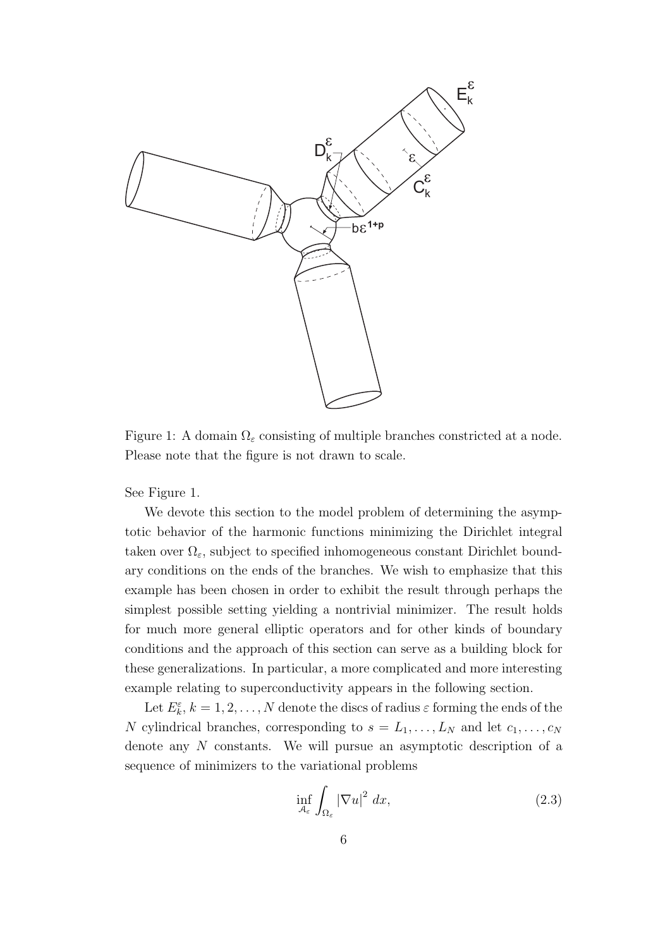

Figure 1: A domain  $\Omega_{\varepsilon}$  consisting of multiple branches constricted at a node. Please note that the figure is not drawn to scale.

See Figure 1.

We devote this section to the model problem of determining the asymptotic behavior of the harmonic functions minimizing the Dirichlet integral taken over  $\Omega_{\varepsilon}$ , subject to specified inhomogeneous constant Dirichlet boundary conditions on the ends of the branches. We wish to emphasize that this example has been chosen in order to exhibit the result through perhaps the simplest possible setting yielding a nontrivial minimizer. The result holds for much more general elliptic operators and for other kinds of boundary conditions and the approach of this section can serve as a building block for these generalizations. In particular, a more complicated and more interesting example relating to superconductivity appears in the following section.

Let  $E_k^{\varepsilon}$ ,  $k = 1, 2, ..., N$  denote the discs of radius  $\varepsilon$  forming the ends of the N cylindrical branches, corresponding to  $s = L_1, \ldots, L_N$  and let  $c_1, \ldots, c_N$ denote any N constants. We will pursue an asymptotic description of a sequence of minimizers to the variational problems

$$
\inf_{\mathcal{A}_{\varepsilon}} \int_{\Omega_{\varepsilon}} |\nabla u|^2 \ dx,\tag{2.3}
$$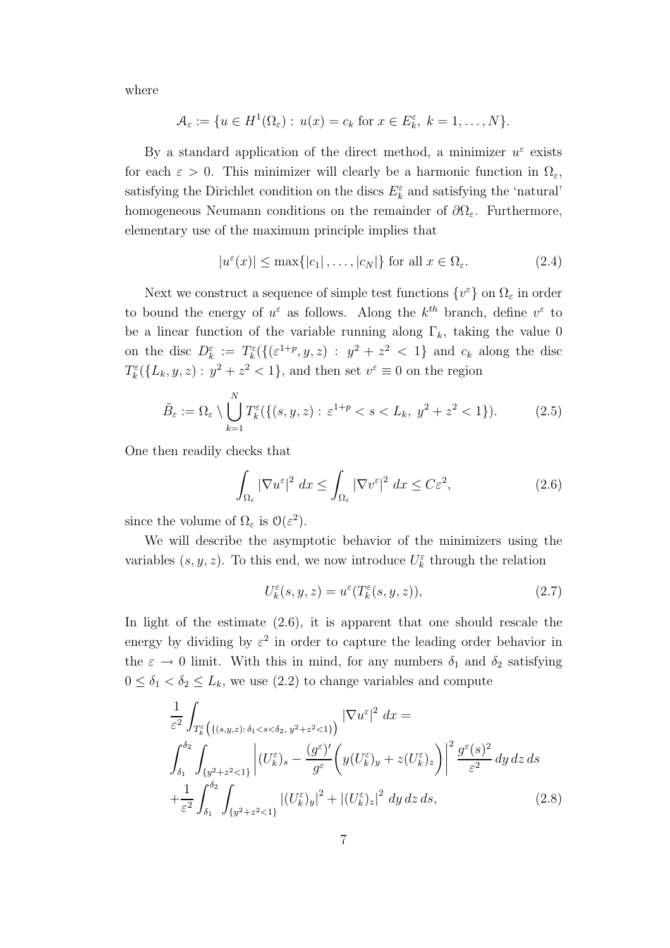where

$$
\mathcal{A}_{\varepsilon} := \{ u \in H^1(\Omega_{\varepsilon}) : u(x) = c_k \text{ for } x \in E_k^{\varepsilon}, k = 1, \dots, N \}.
$$

By a standard application of the direct method, a minimizer  $u^{\varepsilon}$  exists for each  $\varepsilon > 0$ . This minimizer will clearly be a harmonic function in  $\Omega_{\varepsilon}$ , satisfying the Dirichlet condition on the discs  $E_k^{\varepsilon}$  and satisfying the 'natural' homogeneous Neumann conditions on the remainder of  $\partial\Omega_{\varepsilon}$ . Furthermore, elementary use of the maximum principle implies that

$$
|u^{\varepsilon}(x)| \le \max\{|c_1|, \dots, |c_N|\} \text{ for all } x \in \Omega_{\varepsilon}.\tag{2.4}
$$

Next we construct a sequence of simple test functions  $\{v^{\varepsilon}\}\$  on  $\Omega_{\varepsilon}$  in order to bound the energy of  $u^{\varepsilon}$  as follows. Along the  $k^{th}$  branch, define  $v^{\varepsilon}$  to be a linear function of the variable running along  $\Gamma_k$ , taking the value 0 on the disc  $D_k^{\varepsilon} := T_k^{\varepsilon}(\{(\varepsilon^{1+p}, y, z) : y^2 + z^2 < 1\})$  and  $c_k$  along the disc  $T_k^{\varepsilon}({L_k, y, z}: y^2 + z^2 < 1$ , and then set  $v^{\varepsilon} \equiv 0$  on the region

$$
\tilde{B}_{\varepsilon} := \Omega_{\varepsilon} \setminus \bigcup_{k=1}^{N} T_{k}^{\varepsilon}(\{(s, y, z) : \varepsilon^{1+p} < s < L_{k}, \ y^{2} + z^{2} < 1\}).\tag{2.5}
$$

One then readily checks that

$$
\int_{\Omega_{\varepsilon}} |\nabla u^{\varepsilon}|^2 dx \le \int_{\Omega_{\varepsilon}} |\nabla v^{\varepsilon}|^2 dx \le C\varepsilon^2,
$$
\n(2.6)

since the volume of  $\Omega_{\varepsilon}$  is  $\mathcal{O}(\varepsilon^2)$ .

We will describe the asymptotic behavior of the minimizers using the variables  $(s, y, z)$ . To this end, we now introduce  $U_k^{\varepsilon}$  through the relation

$$
U_k^{\varepsilon}(s, y, z) = u^{\varepsilon}(T_k^{\varepsilon}(s, y, z)), \tag{2.7}
$$

In light of the estimate (2.6), it is apparent that one should rescale the energy by dividing by  $\varepsilon^2$  in order to capture the leading order behavior in the  $\varepsilon \to 0$  limit. With this in mind, for any numbers  $\delta_1$  and  $\delta_2$  satisfying  $0 \leq \delta_1 < \delta_2 \leq L_k$ , we use (2.2) to change variables and compute

$$
\frac{1}{\varepsilon^2} \int_{T_k^{\varepsilon} \left( \{(s,y,z): \delta_1 < s < \delta_2, y^2 + z^2 < 1 \} \right)} |\nabla u^{\varepsilon}|^2 dx =
$$
\n
$$
\int_{\delta_1}^{\delta_2} \int_{\{y^2 + z^2 < 1\}} \left| (U_k^{\varepsilon})_s - \frac{(g^{\varepsilon})'}{g^{\varepsilon}} \left( y(U_k^{\varepsilon})_y + z(U_k^{\varepsilon})_z \right) \right|^2 \frac{g^{\varepsilon}(s)^2}{\varepsilon^2} dy dz ds
$$
\n
$$
+ \frac{1}{\varepsilon^2} \int_{\delta_1}^{\delta_2} \int_{\{y^2 + z^2 < 1\}} |(U_k^{\varepsilon})_y|^2 + |(U_k^{\varepsilon})_z|^2 dy dz ds, \tag{2.8}
$$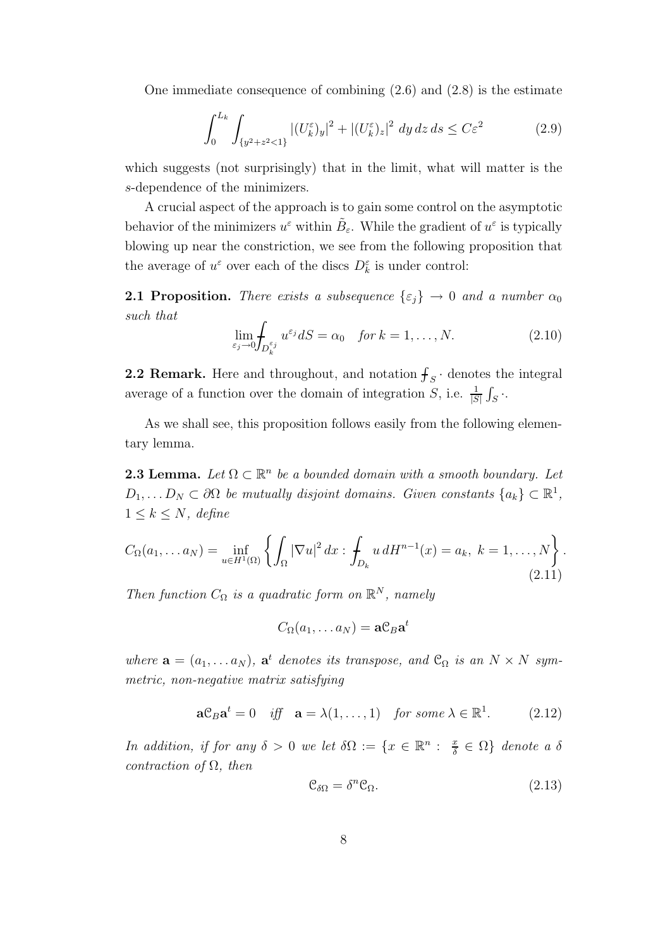One immediate consequence of combining (2.6) and (2.8) is the estimate

$$
\int_0^{L_k} \int_{\{y^2 + z^2 < 1\}} |(U_k^{\varepsilon})_y|^2 + |(U_k^{\varepsilon})_z|^2 \, dy \, dz \, ds \le C\varepsilon^2 \tag{2.9}
$$

which suggests (not surprisingly) that in the limit, what will matter is the s-dependence of the minimizers.

A crucial aspect of the approach is to gain some control on the asymptotic behavior of the minimizers  $u^{\varepsilon}$  within  $B_{\varepsilon}$ . While the gradient of  $u^{\varepsilon}$  is typically blowing up near the constriction, we see from the following proposition that the average of  $u^{\varepsilon}$  over each of the discs  $D_{k}^{\varepsilon}$  is under control:

**2.1 Proposition.** There exists a subsequence  $\{\varepsilon_j\} \to 0$  and a number  $\alpha_0$ such that

$$
\lim_{\varepsilon_j \to 0} \int_{D_k^{\varepsilon_j}} u^{\varepsilon_j} dS = \alpha_0 \quad \text{for } k = 1, \dots, N. \tag{2.10}
$$

**2.2 Remark.** Here and throughout, and notation  $f_s$  denotes the integral average of a function over the domain of integration S, i.e.  $\frac{1}{|S|} \int_S \cdot$ .

As we shall see, this proposition follows easily from the following elementary lemma.

**2.3 Lemma.** Let  $\Omega \subset \mathbb{R}^n$  be a bounded domain with a smooth boundary. Let  $D_1,\ldots D_N \subset \partial\Omega$  be mutually disjoint domains. Given constants  $\{a_k\} \subset \mathbb{R}^1$ ,  $1 \leq k \leq N$ , define

$$
C_{\Omega}(a_1,... a_N) = \inf_{u \in H^1(\Omega)} \left\{ \int_{\Omega} |\nabla u|^2 dx : \int_{D_k} u \, dH^{n-1}(x) = a_k, \ k = 1,..., N \right\}.
$$
\n(2.11)

Then function  $C_{\Omega}$  is a quadratic form on  $\mathbb{R}^{N}$ , namely

$$
C_{\Omega}(a_1,\ldots a_N) = \mathbf{a} \mathcal{C}_B \mathbf{a}^t
$$

where  $\mathbf{a} = (a_1, \ldots a_N)$ ,  $\mathbf{a}^t$  denotes its transpose, and  $\mathcal{C}_{\Omega}$  is an  $N \times N$  symmetric, non-negative matrix satisfying

$$
\mathbf{a} \mathcal{C}_B \mathbf{a}^t = 0 \quad \text{iff} \quad \mathbf{a} = \lambda(1, \dots, 1) \quad \text{for some } \lambda \in \mathbb{R}^1. \tag{2.12}
$$

In addition, if for any  $\delta > 0$  we let  $\delta\Omega := \{x \in \mathbb{R}^n : \frac{x}{\delta} \in \Omega\}$  denote a  $\delta$ contraction of  $\Omega$ , then

$$
\mathcal{C}_{\delta\Omega} = \delta^n \mathcal{C}_{\Omega}.\tag{2.13}
$$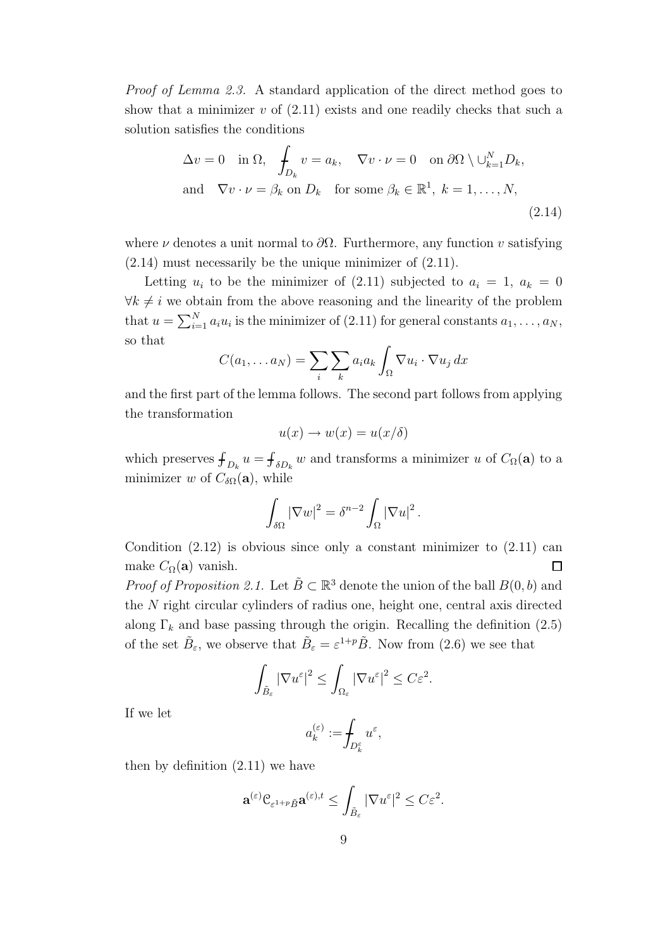Proof of Lemma 2.3. A standard application of the direct method goes to show that a minimizer  $v$  of  $(2.11)$  exists and one readily checks that such a solution satisfies the conditions

$$
\Delta v = 0 \text{ in } \Omega, \quad \int_{D_k} v = a_k, \quad \nabla v \cdot \nu = 0 \quad \text{on } \partial\Omega \setminus \cup_{k=1}^N D_k,
$$
  
and 
$$
\nabla v \cdot \nu = \beta_k \text{ on } D_k \quad \text{for some } \beta_k \in \mathbb{R}^1, \ k = 1, ..., N,
$$
  
(2.14)

where  $\nu$  denotes a unit normal to  $\partial\Omega$ . Furthermore, any function v satisfying (2.14) must necessarily be the unique minimizer of (2.11).

Letting  $u_i$  to be the minimizer of (2.11) subjected to  $a_i = 1$ ,  $a_k = 0$  $\forall k \neq i$  we obtain from the above reasoning and the linearity of the problem that  $u = \sum_{i=1}^{N} a_i u_i$  is the minimizer of (2.11) for general constants  $a_1, \ldots, a_N$ , so that

$$
C(a_1, \ldots a_N) = \sum_i \sum_k a_i a_k \int_{\Omega} \nabla u_i \cdot \nabla u_j dx
$$

and the first part of the lemma follows. The second part follows from applying the transformation

$$
u(x) \to w(x) = u(x/\delta)
$$

which preserves  $f_{D_k} u = f_{\delta D_k} w$  and transforms a minimizer u of  $C_{\Omega}(\mathbf{a})$  to a minimizer w of  $C_{\delta\Omega}(\mathbf{a})$ , while

$$
\int_{\delta\Omega} |\nabla w|^2 = \delta^{n-2} \int_{\Omega} |\nabla u|^2.
$$

Condition  $(2.12)$  is obvious since only a constant minimizer to  $(2.11)$  can make  $C_{\Omega}(\mathbf{a})$  vanish.  $\Box$ 

*Proof of Proposition 2.1.* Let  $\tilde{B} \subset \mathbb{R}^3$  denote the union of the ball  $B(0, b)$  and the N right circular cylinders of radius one, height one, central axis directed along  $\Gamma_k$  and base passing through the origin. Recalling the definition (2.5) of the set  $\tilde{B}_{\varepsilon}$ , we observe that  $\tilde{B}_{\varepsilon} = \varepsilon^{1+p}\tilde{B}$ . Now from (2.6) we see that

$$
\int_{\tilde{B}_{\varepsilon}} |\nabla u^{\varepsilon}|^2 \leq \int_{\Omega_{\varepsilon}} |\nabla u^{\varepsilon}|^2 \leq C \varepsilon^2.
$$

If we let

$$
a_k^{(\varepsilon)} := \int_{D_k^{\varepsilon}} u^{\varepsilon},
$$

then by definition (2.11) we have

$$
\mathbf{a}^{(\varepsilon)} \mathcal{C}_{\varepsilon^{1+p}\tilde{B}} \mathbf{a}^{(\varepsilon),t} \leq \int_{\tilde{B}_{\varepsilon}} |\nabla u^{\varepsilon}|^2 \leq C \varepsilon^2.
$$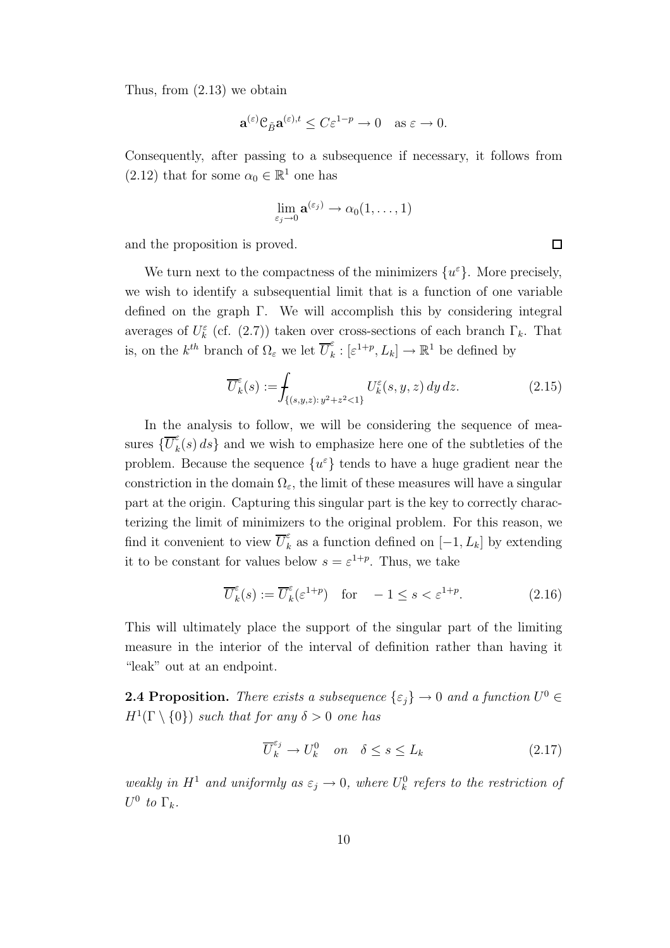Thus, from (2.13) we obtain

$$
\mathbf{a}^{(\varepsilon)} \mathcal{C}_{\tilde{B}} \mathbf{a}^{(\varepsilon),t} \le C \varepsilon^{1-p} \to 0 \quad \text{as } \varepsilon \to 0.
$$

Consequently, after passing to a subsequence if necessary, it follows from  $(2.12)$  that for some  $\alpha_0 \in \mathbb{R}^1$  one has

$$
\lim_{\varepsilon_j \to 0} \mathbf{a}^{(\varepsilon_j)} \to \alpha_0(1,\ldots,1)
$$

and the proposition is proved.

We turn next to the compactness of the minimizers  $\{u^{\varepsilon}\}\$ . More precisely, we wish to identify a subsequential limit that is a function of one variable defined on the graph Γ. We will accomplish this by considering integral averages of  $U_k^{\varepsilon}$  (cf. (2.7)) taken over cross-sections of each branch  $\Gamma_k$ . That is, on the  $k^{th}$  branch of  $\Omega_{\varepsilon}$  we let  $\overline{U}_{k}^{\varepsilon}: [\varepsilon^{1+p}, L_{k}] \to \mathbb{R}^{1}$  be defined by

$$
\overline{U}_k^{\varepsilon}(s) := \int_{\{(s,y,z):y^2+z^2<1\}} U_k^{\varepsilon}(s,y,z) \, dy \, dz. \tag{2.15}
$$

In the analysis to follow, we will be considering the sequence of measures  $\{\overline{U}_k^{\varepsilon}(s) \, ds\}$  and we wish to emphasize here one of the subtleties of the problem. Because the sequence  $\{u^{\varepsilon}\}\$  tends to have a huge gradient near the constriction in the domain  $\Omega_{\varepsilon}$ , the limit of these measures will have a singular part at the origin. Capturing this singular part is the key to correctly characterizing the limit of minimizers to the original problem. For this reason, we find it convenient to view  $\overline{U}_k^{\varepsilon}$  as a function defined on  $[-1, L_k]$  by extending it to be constant for values below  $s = \varepsilon^{1+p}$ . Thus, we take

$$
\overline{U}_k^{\varepsilon}(s) := \overline{U}_k^{\varepsilon}(\varepsilon^{1+p}) \quad \text{for} \quad -1 \le s < \varepsilon^{1+p}.\tag{2.16}
$$

This will ultimately place the support of the singular part of the limiting measure in the interior of the interval of definition rather than having it "leak" out at an endpoint.

**2.4 Proposition.** There exists a subsequence  $\{\varepsilon_j\} \to 0$  and a function  $U^0 \in$  $H^1(\Gamma \setminus \{0\})$  such that for any  $\delta > 0$  one has

$$
\overline{U}_{k}^{\varepsilon_{j}} \to U_{k}^{0} \quad on \quad \delta \le s \le L_{k} \tag{2.17}
$$

weakly in  $H^1$  and uniformly as  $\varepsilon_j \to 0$ , where  $U^0_k$  refers to the restriction of  $U^0$  to  $\Gamma_k$ .

 $\Box$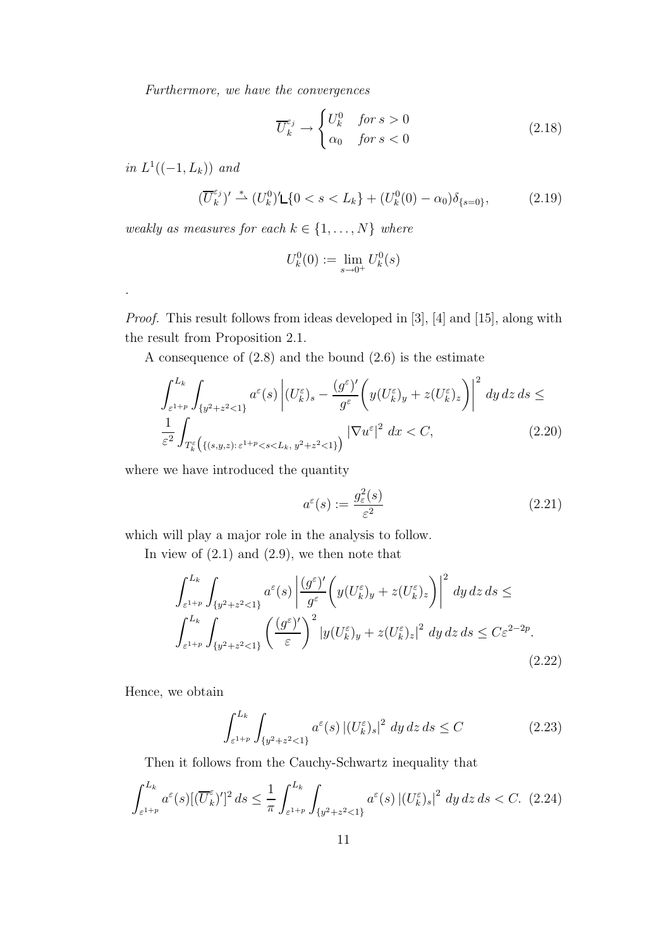Furthermore, we have the convergences

$$
\overline{U}_{k}^{\varepsilon_{j}} \to \begin{cases} U_{k}^{0} & \text{for } s > 0\\ \alpha_{0} & \text{for } s < 0 \end{cases}
$$
\n(2.18)

*in*  $L^1((-1, L_k))$  *and* 

.

$$
(\overline{U}_{k}^{\varepsilon_{j}})' \stackrel{*}{\rightharpoonup} (U_{k}^{0})' \mathcal{L} \{0 < s < L_{k}\} + (U_{k}^{0}(0) - \alpha_{0})\delta_{\{s=0\}},\tag{2.19}
$$

weakly as measures for each  $k \in \{1, ..., N\}$  where

$$
U_k^0(0) := \lim_{s \to 0^+} U_k^0(s)
$$

Proof. This result follows from ideas developed in [3], [4] and [15], along with the result from Proposition 2.1.

A consequence of (2.8) and the bound (2.6) is the estimate

$$
\int_{\varepsilon^{1+p}}^{L_k} \int_{\{y^2 + z^2 < 1\}} a^{\varepsilon}(s) \left| (U_k^{\varepsilon})_s - \frac{(g^{\varepsilon})'}{g^{\varepsilon}} \left( y(U_k^{\varepsilon})_y + z(U_k^{\varepsilon})_z \right) \right|^2 dy \, dz \, ds \le
$$
\n
$$
\frac{1}{\varepsilon^2} \int_{T_k^{\varepsilon} \left( \{(s, y, z) : \varepsilon^{1+p} < s < L_k, y^2 + z^2 < 1 \} \right)} |\nabla u^{\varepsilon}|^2 dx < C,\tag{2.20}
$$

where we have introduced the quantity

$$
a^{\varepsilon}(s) := \frac{g_{\varepsilon}^{2}(s)}{\varepsilon^{2}} \tag{2.21}
$$

which will play a major role in the analysis to follow.

In view of  $(2.1)$  and  $(2.9)$ , we then note that

$$
\int_{\varepsilon^{1+p}}^{L_k} \int_{\{y^2 + z^2 < 1\}} a^{\varepsilon}(s) \left| \frac{(g^{\varepsilon})'}{g^{\varepsilon}} \left( y(U_k^{\varepsilon})_y + z(U_k^{\varepsilon})_z \right) \right|^2 dy dz ds \le
$$
\n
$$
\int_{\varepsilon^{1+p}}^{L_k} \int_{\{y^2 + z^2 < 1\}} \left( \frac{(g^{\varepsilon})'}{\varepsilon} \right)^2 |y(U_k^{\varepsilon})_y + z(U_k^{\varepsilon})_z|^2 dy dz ds \le C \varepsilon^{2-2p}.
$$
\n(2.22)

Hence, we obtain

$$
\int_{\varepsilon^{1+p}}^{L_k} \int_{\{y^2 + z^2 < 1\}} a^{\varepsilon}(s) \, |(U_k^{\varepsilon})_s|^2 \, dy \, dz \, ds \le C \tag{2.23}
$$

Then it follows from the Cauchy-Schwartz inequality that

$$
\int_{\varepsilon^{1+p}}^{L_k} a^{\varepsilon}(s) \left[ (\overline{U}_k^{\varepsilon})' \right]^2 ds \le \frac{1}{\pi} \int_{\varepsilon^{1+p}}^{L_k} \int_{\{y^2 + z^2 < 1\}} a^{\varepsilon}(s) \left| (U_k^{\varepsilon})_s \right|^2 dy \, dz \, ds < C. \tag{2.24}
$$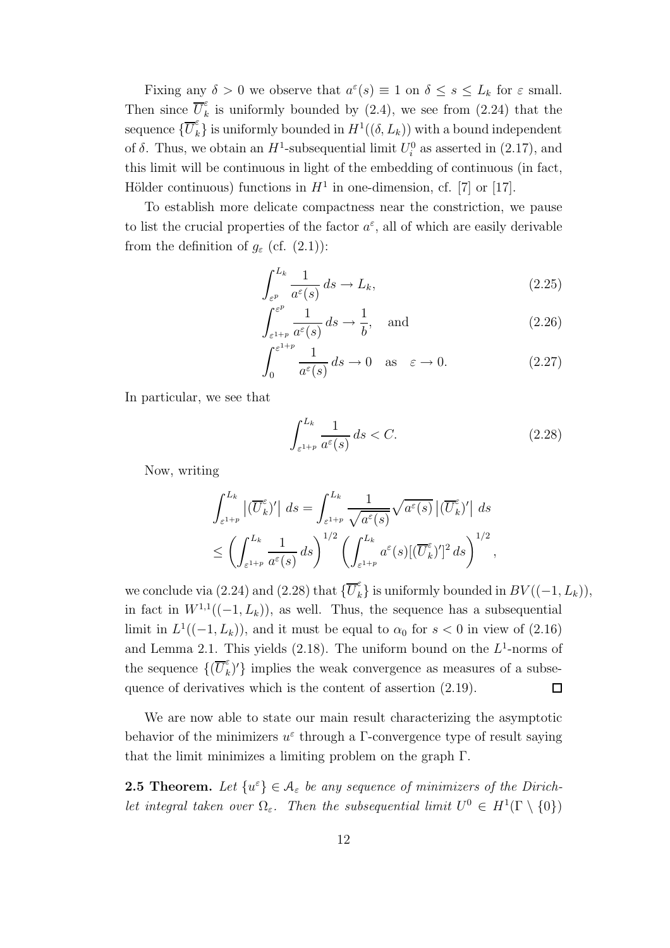Fixing any  $\delta > 0$  we observe that  $a^{\varepsilon}(s) \equiv 1$  on  $\delta \leq s \leq L_k$  for  $\varepsilon$  small. Then since  $\overline{U}_k^{\varepsilon}$  is uniformly bounded by (2.4), we see from (2.24) that the sequence  $\{\overline{U}_k^\varepsilon\}$  is uniformly bounded in  $H^1((\delta, L_k))$  with a bound independent of  $\delta$ . Thus, we obtain an  $H^1$ -subsequential limit  $U_i^0$  as asserted in (2.17), and this limit will be continuous in light of the embedding of continuous (in fact, Hölder continuous) functions in  $H^1$  in one-dimension, cf. [7] or [17].

To establish more delicate compactness near the constriction, we pause to list the crucial properties of the factor  $a^{\varepsilon}$ , all of which are easily derivable from the definition of  $g_{\varepsilon}$  (cf. (2.1)):

$$
\int_{\varepsilon^p}^{L_k} \frac{1}{a^{\varepsilon}(s)} ds \to L_k,
$$
\n(2.25)

$$
\int_{\varepsilon^{1+p}}^{\varepsilon^p} \frac{1}{a^\varepsilon(s)} ds \to \frac{1}{b}, \quad \text{and} \tag{2.26}
$$

$$
\int_0^{\varepsilon^{1+p}} \frac{1}{a^{\varepsilon}(s)} ds \to 0 \quad \text{as} \quad \varepsilon \to 0. \tag{2.27}
$$

In particular, we see that

$$
\int_{\varepsilon^{1+p}}^{L_k} \frac{1}{a^{\varepsilon}(s)} ds < C.
$$
 (2.28)

Now, writing

$$
\int_{\varepsilon^{1+p}}^{L_k} |(\overline{U}_k^{\varepsilon})'| ds = \int_{\varepsilon^{1+p}}^{L_k} \frac{1}{\sqrt{a^{\varepsilon}(s)}} \sqrt{a^{\varepsilon}(s)} |(\overline{U}_k^{\varepsilon})'| ds
$$
  

$$
\leq \left( \int_{\varepsilon^{1+p}}^{L_k} \frac{1}{a^{\varepsilon}(s)} ds \right)^{1/2} \left( \int_{\varepsilon^{1+p}}^{L_k} a^{\varepsilon}(s) [(\overline{U}_k^{\varepsilon})']^2 ds \right)^{1/2},
$$

we conclude via (2.24) and (2.28) that  $\{\overline{U}_k^{\varepsilon}\}\$  is uniformly bounded in  $BV((-1, L_k)),$ in fact in  $W^{1,1}((-1, L_k))$ , as well. Thus, the sequence has a subsequential limit in  $L^1((-1, L_k))$ , and it must be equal to  $\alpha_0$  for  $s < 0$  in view of (2.16) and Lemma 2.1. This yields  $(2.18)$ . The uniform bound on the  $L^1$ -norms of the sequence  $\{(\overline{U}_k^{\varepsilon})'\}$  implies the weak convergence as measures of a subsequence of derivatives which is the content of assertion (2.19).  $\Box$ 

We are now able to state our main result characterizing the asymptotic behavior of the minimizers  $u^{\varepsilon}$  through a Γ-convergence type of result saying that the limit minimizes a limiting problem on the graph Γ.

**2.5 Theorem.** Let  $\{u^{\varepsilon}\}\in \mathcal{A}_{\varepsilon}$  be any sequence of minimizers of the Dirichlet integral taken over  $\Omega_{\varepsilon}$ . Then the subsequential limit  $U^0 \in H^1(\Gamma \setminus \{0\})$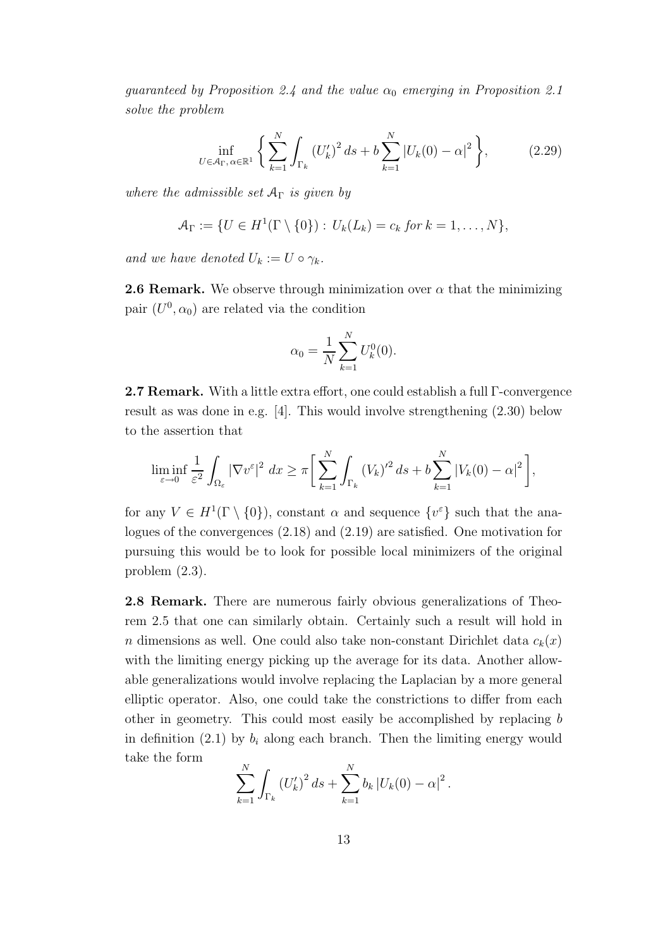guaranteed by Proposition 2.4 and the value  $\alpha_0$  emerging in Proposition 2.1 solve the problem

$$
\inf_{U \in \mathcal{A}_{\Gamma}, \alpha \in \mathbb{R}^1} \left\{ \sum_{k=1}^N \int_{\Gamma_k} \left( U_k' \right)^2 ds + b \sum_{k=1}^N |U_k(0) - \alpha|^2 \right\},\tag{2.29}
$$

where the admissible set  $A_{\Gamma}$  is given by

$$
\mathcal{A}_{\Gamma} := \{ U \in H^1(\Gamma \setminus \{0\}) : U_k(L_k) = c_k \text{ for } k = 1, \ldots, N \},
$$

and we have denoted  $U_k := U \circ \gamma_k$ .

**2.6 Remark.** We observe through minimization over  $\alpha$  that the minimizing pair  $(U^0, \alpha_0)$  are related via the condition

$$
\alpha_0 = \frac{1}{N} \sum_{k=1}^{N} U_k^0(0).
$$

**2.7 Remark.** With a little extra effort, one could establish a full Γ-convergence result as was done in e.g. [4]. This would involve strengthening (2.30) below to the assertion that

$$
\liminf_{\varepsilon \to 0} \frac{1}{\varepsilon^2} \int_{\Omega_{\varepsilon}} |\nabla v^{\varepsilon}|^2 dx \ge \pi \bigg[ \sum_{k=1}^N \int_{\Gamma_k} (V_k)^{2} ds + b \sum_{k=1}^N |V_k(0) - \alpha|^2 \bigg],
$$

for any  $V \in H^1(\Gamma \setminus \{0\})$ , constant  $\alpha$  and sequence  $\{v^{\varepsilon}\}\$  such that the analogues of the convergences (2.18) and (2.19) are satisfied. One motivation for pursuing this would be to look for possible local minimizers of the original problem (2.3).

**2.8 Remark.** There are numerous fairly obvious generalizations of Theorem 2.5 that one can similarly obtain. Certainly such a result will hold in n dimensions as well. One could also take non-constant Dirichlet data  $c_k(x)$ with the limiting energy picking up the average for its data. Another allowable generalizations would involve replacing the Laplacian by a more general elliptic operator. Also, one could take the constrictions to differ from each other in geometry. This could most easily be accomplished by replacing b in definition  $(2.1)$  by  $b_i$  along each branch. Then the limiting energy would take the form

$$
\sum_{k=1}^{N} \int_{\Gamma_k} (U'_k)^2 ds + \sum_{k=1}^{N} b_k |U_k(0) - \alpha|^2.
$$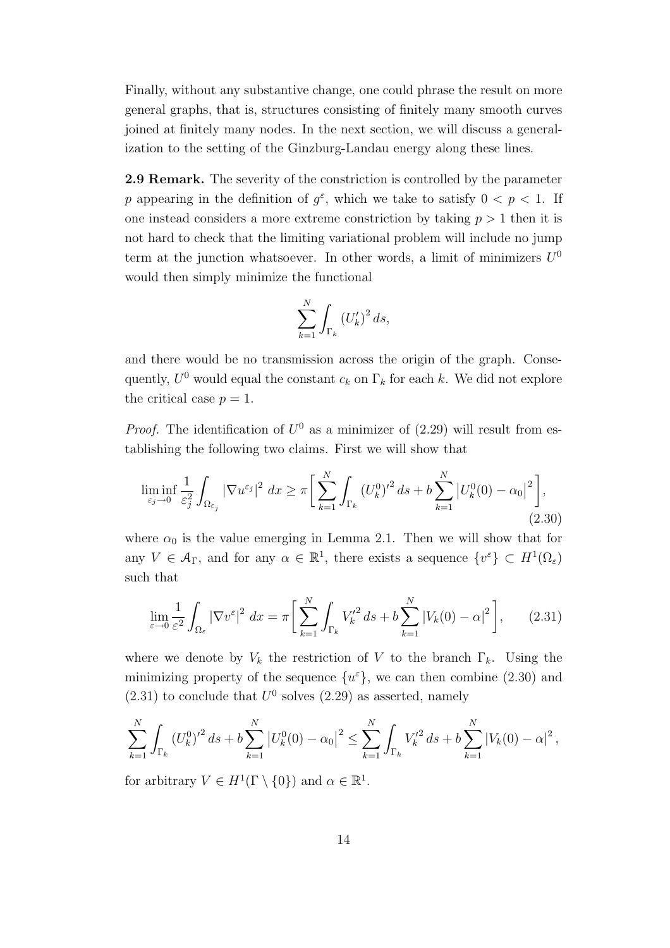Finally, without any substantive change, one could phrase the result on more general graphs, that is, structures consisting of finitely many smooth curves joined at finitely many nodes. In the next section, we will discuss a generalization to the setting of the Ginzburg-Landau energy along these lines.

**2.9 Remark.** The severity of the constriction is controlled by the parameter p appearing in the definition of  $g^{\varepsilon}$ , which we take to satisfy  $0 < p < 1$ . If one instead considers a more extreme constriction by taking  $p > 1$  then it is not hard to check that the limiting variational problem will include no jump term at the junction whatsoever. In other words, a limit of minimizers  $U^0$ would then simply minimize the functional

$$
\sum_{k=1}^N \int_{\Gamma_k} \left( U_k' \right)^2 ds,
$$

and there would be no transmission across the origin of the graph. Consequently,  $U^0$  would equal the constant  $c_k$  on  $\Gamma_k$  for each k. We did not explore the critical case  $p = 1$ .

*Proof.* The identification of  $U^0$  as a minimizer of (2.29) will result from establishing the following two claims. First we will show that

$$
\liminf_{\varepsilon_j \to 0} \frac{1}{\varepsilon_j^2} \int_{\Omega_{\varepsilon_j}} |\nabla u^{\varepsilon_j}|^2 dx \ge \pi \bigg[ \sum_{k=1}^N \int_{\Gamma_k} (U_k^0)^{2} ds + b \sum_{k=1}^N |U_k^0(0) - \alpha_0|^2 \bigg],\tag{2.30}
$$

where  $\alpha_0$  is the value emerging in Lemma 2.1. Then we will show that for any  $V \in \mathcal{A}_{\Gamma}$ , and for any  $\alpha \in \mathbb{R}^1$ , there exists a sequence  $\{v^{\varepsilon}\} \subset H^1(\Omega_{\varepsilon})$ such that

$$
\lim_{\varepsilon \to 0} \frac{1}{\varepsilon^2} \int_{\Omega_{\varepsilon}} |\nabla v^{\varepsilon}|^2 dx = \pi \bigg[ \sum_{k=1}^N \int_{\Gamma_k} V_k'^2 ds + b \sum_{k=1}^N |V_k(0) - \alpha|^2 \bigg], \qquad (2.31)
$$

where we denote by  $V_k$  the restriction of V to the branch  $\Gamma_k$ . Using the minimizing property of the sequence  $\{u^{\varepsilon}\}\,$ , we can then combine (2.30) and  $(2.31)$  to conclude that  $U^0$  solves  $(2.29)$  as asserted, namely

$$
\sum_{k=1}^N \int_{\Gamma_k} (U_k^0)^{r^2} ds + b \sum_{k=1}^N |U_k^0(0) - \alpha_0|^2 \le \sum_{k=1}^N \int_{\Gamma_k} V_k^{r^2} ds + b \sum_{k=1}^N |V_k(0) - \alpha|^2,
$$

for arbitrary  $V \in H^1(\Gamma \setminus \{0\})$  and  $\alpha \in \mathbb{R}^1$ .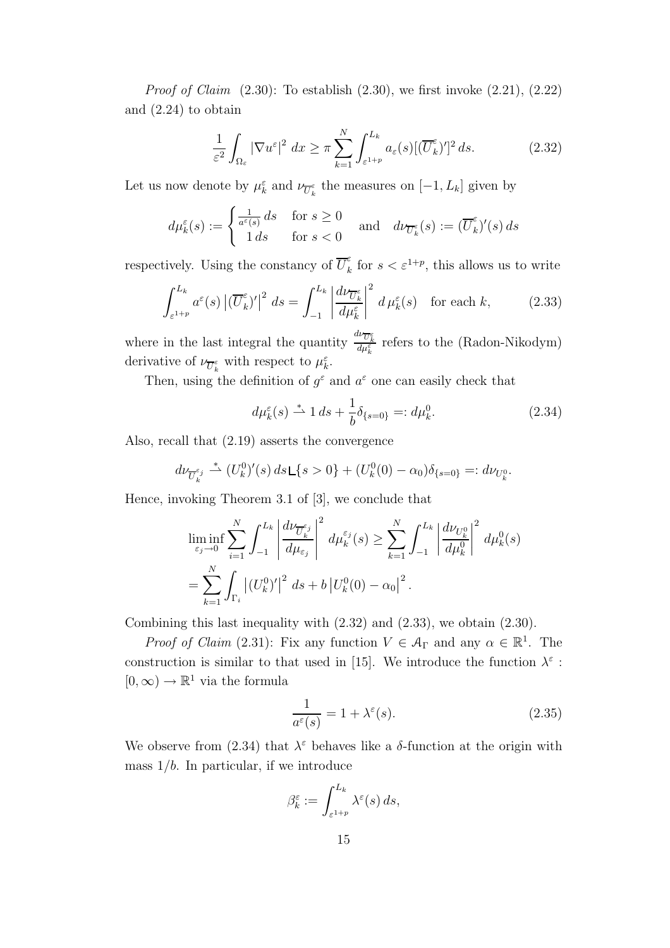*Proof of Claim*  $(2.30)$ : To establish  $(2.30)$ , we first invoke  $(2.21)$ ,  $(2.22)$ and (2.24) to obtain

$$
\frac{1}{\varepsilon^2} \int_{\Omega_{\varepsilon}} |\nabla u^{\varepsilon}|^2 dx \ge \pi \sum_{k=1}^N \int_{\varepsilon^{1+p}}^{L_k} a_{\varepsilon}(s) [(\overline{U}_k^{\varepsilon})']^2 ds. \tag{2.32}
$$

Let us now denote by  $\mu_k^{\varepsilon}$  and  $\nu_{\overline{U}_k^{\varepsilon}}$  the measures on  $[-1, L_k]$  given by

$$
d\mu_k^{\varepsilon}(s) := \begin{cases} \frac{1}{a^{\varepsilon}(s)} ds & \text{for } s \ge 0\\ 1 ds & \text{for } s < 0 \end{cases} \quad \text{and} \quad d\nu_{\overline{U}_k^{\varepsilon}}(s) := (\overline{U}_k^{\varepsilon})'(s) ds
$$

respectively. Using the constancy of  $\overline{U}_k^{\varepsilon}$  for  $s < \varepsilon^{1+p}$ , this allows us to write

$$
\int_{\varepsilon^{1+p}}^{L_k} a^{\varepsilon}(s) \left| (\overline{U}_k^{\varepsilon})' \right|^2 ds = \int_{-1}^{L_k} \left| \frac{d\nu_{\overline{U}_k^{\varepsilon}}}{d\mu_k^{\varepsilon}} \right|^2 d\mu_k^{\varepsilon}(s) \quad \text{for each } k,
$$
 (2.33)

where in the last integral the quantity  $\frac{d\nu_{\overline{U}_k^{\varepsilon}}}{d\mu_k^{\varepsilon}}$  refers to the (Radon-Nikodym) derivative of  $\nu_{\overline{U}_k^{\varepsilon}}$  with respect to  $\mu_k^{\varepsilon}$ .

Then, using the definition of  $g^\varepsilon$  and  $a^\varepsilon$  one can easily check that

$$
d\mu_k^{\varepsilon}(s) \stackrel{*}{\rightharpoonup} 1 ds + \frac{1}{b} \delta_{\{s=0\}} =: d\mu_k^0. \tag{2.34}
$$

Also, recall that (2.19) asserts the convergence

$$
d\nu_{\overline{U}_k^{\varepsilon_j}} \stackrel{*}{\rightharpoonup} (U_k^0)'(s) \, ds \, L\{s > 0\} + (U_k^0(0) - \alpha_0) \delta_{\{s=0\}} =: d\nu_{U_k^0}.
$$

Hence, invoking Theorem 3.1 of [3], we conclude that

$$
\liminf_{\varepsilon_j \to 0} \sum_{i=1}^N \int_{-1}^{L_k} \left| \frac{d\nu_{\overline{U}_k^{\varepsilon_j}}}{d\mu_{\varepsilon_j}} \right|^2 d\mu_k^{\varepsilon_j}(s) \ge \sum_{k=1}^N \int_{-1}^{L_k} \left| \frac{d\nu_{U_k^0}}{d\mu_k^0} \right|^2 d\mu_k^0(s)
$$
  
= 
$$
\sum_{k=1}^N \int_{\Gamma_i} |(U_k^0)'|^2 ds + b |U_k^0(0) - \alpha_0|^2.
$$

Combining this last inequality with (2.32) and (2.33), we obtain (2.30).

*Proof of Claim* (2.31): Fix any function  $V \in \mathcal{A}_{\Gamma}$  and any  $\alpha \in \mathbb{R}^1$ . The construction is similar to that used in [15]. We introduce the function  $\lambda^{\varepsilon}$ :  $[0, \infty) \to \mathbb{R}^1$  via the formula

$$
\frac{1}{a^{\varepsilon}(s)} = 1 + \lambda^{\varepsilon}(s). \tag{2.35}
$$

We observe from (2.34) that  $\lambda^{\varepsilon}$  behaves like a δ-function at the origin with mass  $1/b$ . In particular, if we introduce

$$
\beta_k^{\varepsilon} := \int_{\varepsilon^{1+p}}^{L_k} \lambda^{\varepsilon}(s) \, ds,
$$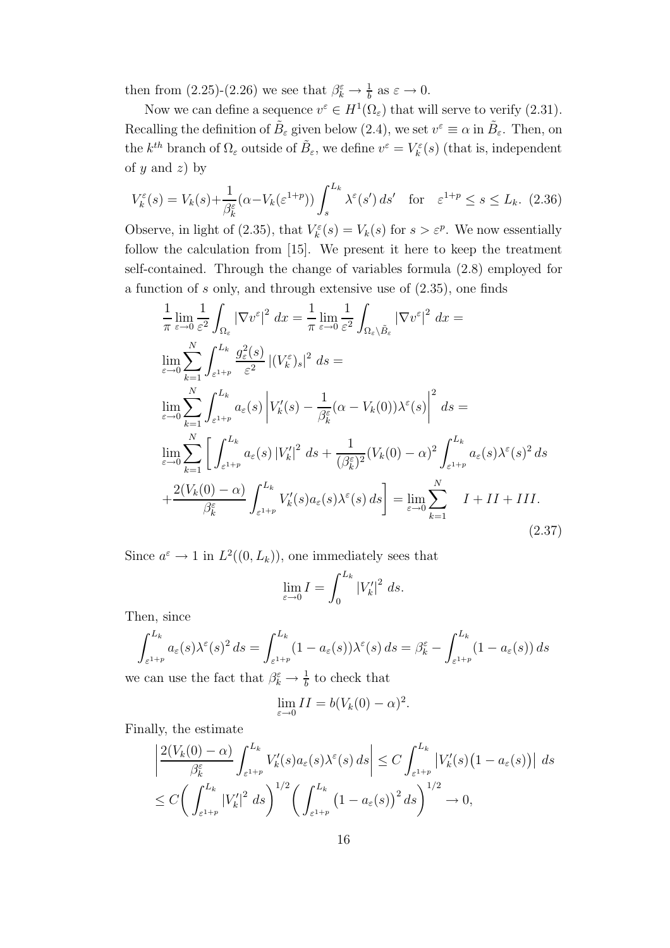then from  $(2.25)-(2.26)$  we see that  $\beta_k^{\varepsilon} \to \frac{1}{b}$  as  $\varepsilon \to 0$ .

Now we can define a sequence  $v^{\varepsilon} \in H^1(\Omega_{\varepsilon})$  that will serve to verify (2.31). Recalling the definition of  $\tilde{B}_{\varepsilon}$  given below (2.4), we set  $v^{\varepsilon} \equiv \alpha$  in  $\tilde{B}_{\varepsilon}$ . Then, on the  $k^{th}$  branch of  $\Omega_{\varepsilon}$  outside of  $\tilde{B}_{\varepsilon}$ , we define  $v^{\varepsilon} = V_k^{\varepsilon}(s)$  (that is, independent of  $y$  and  $z$ ) by

$$
V_k^{\varepsilon}(s) = V_k(s) + \frac{1}{\beta_k^{\varepsilon}} (\alpha - V_k(\varepsilon^{1+p})) \int_s^{L_k} \lambda^{\varepsilon}(s') ds' \quad \text{for} \quad \varepsilon^{1+p} \le s \le L_k. \tag{2.36}
$$

Observe, in light of (2.35), that  $V_k^{\varepsilon}(s) = V_k(s)$  for  $s > \varepsilon^p$ . We now essentially follow the calculation from [15]. We present it here to keep the treatment self-contained. Through the change of variables formula (2.8) employed for a function of s only, and through extensive use of (2.35), one finds

$$
\frac{1}{\pi} \lim_{\varepsilon \to 0} \frac{1}{\varepsilon^2} \int_{\Omega_{\varepsilon}} |\nabla v^{\varepsilon}|^2 dx = \frac{1}{\pi} \lim_{\varepsilon \to 0} \frac{1}{\varepsilon^2} \int_{\Omega_{\varepsilon} \setminus \tilde{B}_{\varepsilon}} |\nabla v^{\varepsilon}|^2 dx =
$$
\n
$$
\lim_{\varepsilon \to 0} \sum_{k=1}^N \int_{\varepsilon^{1+p}}^{L_k} \frac{g_{\varepsilon}^2(s)}{\varepsilon^2} |(V_k^{\varepsilon})_s|^2 ds =
$$
\n
$$
\lim_{\varepsilon \to 0} \sum_{k=1}^N \int_{\varepsilon^{1+p}}^{L_k} a_{\varepsilon}(s) |V_k'(s) - \frac{1}{\beta_k^{\varepsilon}} (\alpha - V_k(0)) \lambda^{\varepsilon}(s) |^2 ds =
$$
\n
$$
\lim_{\varepsilon \to 0} \sum_{k=1}^N \left[ \int_{\varepsilon^{1+p}}^{L_k} a_{\varepsilon}(s) |V_k'|^2 ds + \frac{1}{(\beta_k^{\varepsilon})^2} (V_k(0) - \alpha)^2 \int_{\varepsilon^{1+p}}^{L_k} a_{\varepsilon}(s) \lambda^{\varepsilon}(s)^2 ds
$$
\n
$$
+ \frac{2(V_k(0) - \alpha)}{\beta_k^{\varepsilon}} \int_{\varepsilon^{1+p}}^{L_k} V_k'(s) a_{\varepsilon}(s) \lambda^{\varepsilon}(s) ds \right] = \lim_{\varepsilon \to 0} \sum_{k=1}^N I + II + III.
$$
\n(2.37)

Since  $a^{\varepsilon} \to 1$  in  $L^2((0, L_k))$ , one immediately sees that

$$
\lim_{\varepsilon \to 0} I = \int_0^{L_k} |V_k'|^2 ds.
$$

Then, since

$$
\int_{\varepsilon^{1+p}}^{L_k} a_\varepsilon(s) \lambda^\varepsilon(s)^2 ds = \int_{\varepsilon^{1+p}}^{L_k} (1 - a_\varepsilon(s)) \lambda^\varepsilon(s) ds = \beta_k^\varepsilon - \int_{\varepsilon^{1+p}}^{L_k} (1 - a_\varepsilon(s)) ds
$$

we can use the fact that  $\beta_k^{\varepsilon} \to \frac{1}{b}$  to check that

$$
\lim_{\varepsilon \to 0} II = b(V_k(0) - \alpha)^2.
$$

Finally, the estimate

$$
\left| \frac{2(V_k(0) - \alpha)}{\beta_k^{\varepsilon}} \int_{\varepsilon^{1+p}}^{L_k} V'_k(s) a_{\varepsilon}(s) \lambda^{\varepsilon}(s) ds \right| \le C \int_{\varepsilon^{1+p}}^{L_k} \left| V'_k(s) (1 - a_{\varepsilon}(s)) \right| ds
$$
  

$$
\le C \bigg( \int_{\varepsilon^{1+p}}^{L_k} \left| V'_k \right|^2 ds \bigg)^{1/2} \bigg( \int_{\varepsilon^{1+p}}^{L_k} \left( 1 - a_{\varepsilon}(s) \right)^2 ds \bigg)^{1/2} \to 0,
$$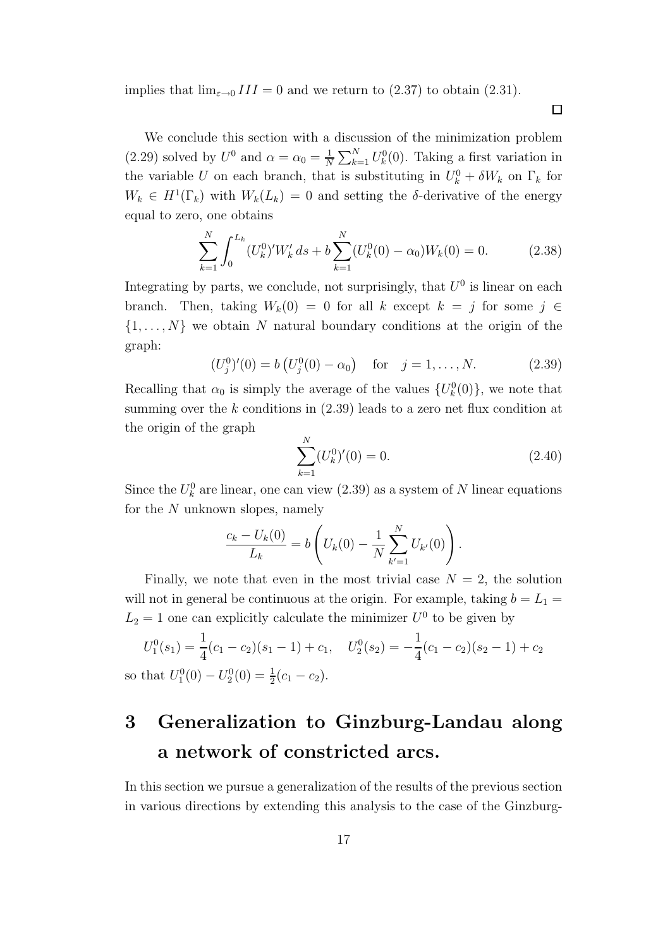implies that  $\lim_{\varepsilon \to 0} III = 0$  and we return to (2.37) to obtain (2.31).

We conclude this section with a discussion of the minimization problem (2.29) solved by  $U^0$  and  $\alpha = \alpha_0 = \frac{1}{N} \sum_{k=1}^{N} U_k^0(0)$ . Taking a first variation in the variable U on each branch, that is substituting in  $U_k^0 + \delta W_k$  on  $\Gamma_k$  for  $W_k \in H^1(\Gamma_k)$  with  $W_k(L_k) = 0$  and setting the δ-derivative of the energy equal to zero, one obtains

$$
\sum_{k=1}^{N} \int_{0}^{L_k} (U_k^0)' W'_k ds + b \sum_{k=1}^{N} (U_k^0(0) - \alpha_0) W_k(0) = 0.
$$
 (2.38)

Integrating by parts, we conclude, not surprisingly, that  $U^0$  is linear on each branch. Then, taking  $W_k(0) = 0$  for all k except  $k = j$  for some  $j \in$  $\{1,\ldots,N\}$  we obtain N natural boundary conditions at the origin of the graph:

$$
(U_j^0)'(0) = b (U_j^0(0) - \alpha_0) \quad \text{for} \quad j = 1, ..., N. \tag{2.39}
$$

Recalling that  $\alpha_0$  is simply the average of the values  $\{U_k^0(0)\}\,$ , we note that summing over the  $k$  conditions in  $(2.39)$  leads to a zero net flux condition at the origin of the graph

$$
\sum_{k=1}^{N} (U_k^0)'(0) = 0.
$$
\n(2.40)

Since the  $U_k^0$  are linear, one can view (2.39) as a system of N linear equations for the  $N$  unknown slopes, namely

$$
\frac{c_k - U_k(0)}{L_k} = b \left( U_k(0) - \frac{1}{N} \sum_{k'=1}^N U_{k'}(0) \right).
$$

Finally, we note that even in the most trivial case  $N = 2$ , the solution will not in general be continuous at the origin. For example, taking  $b = L_1 =$  $L_2 = 1$  one can explicitly calculate the minimizer  $U^0$  to be given by

$$
U_1^0(s_1) = \frac{1}{4}(c_1 - c_2)(s_1 - 1) + c_1, \quad U_2^0(s_2) = -\frac{1}{4}(c_1 - c_2)(s_2 - 1) + c_2
$$
  
so that  $U_1^0(0) - U_2^0(0) = \frac{1}{2}(c_1 - c_2).$ 

# **3 Generalization to Ginzburg-Landau along a network of constricted arcs.**

In this section we pursue a generalization of the results of the previous section in various directions by extending this analysis to the case of the Ginzburg-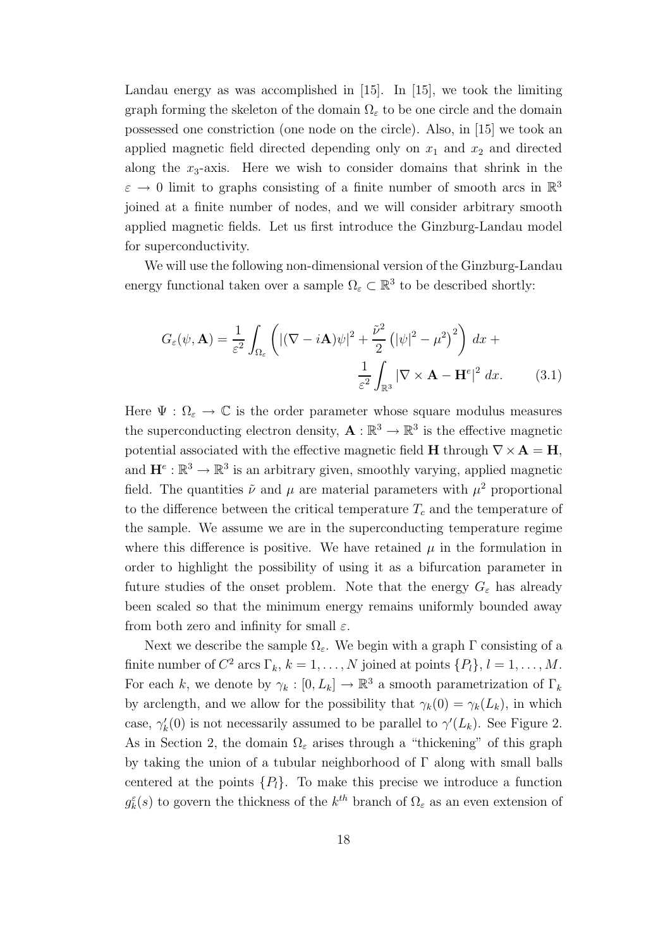Landau energy as was accomplished in  $[15]$ . In  $[15]$ , we took the limiting graph forming the skeleton of the domain  $\Omega_{\varepsilon}$  to be one circle and the domain possessed one constriction (one node on the circle). Also, in [15] we took an applied magnetic field directed depending only on  $x_1$  and  $x_2$  and directed along the  $x_3$ -axis. Here we wish to consider domains that shrink in the  $\varepsilon \to 0$  limit to graphs consisting of a finite number of smooth arcs in  $\mathbb{R}^3$ joined at a finite number of nodes, and we will consider arbitrary smooth applied magnetic fields. Let us first introduce the Ginzburg-Landau model for superconductivity.

We will use the following non-dimensional version of the Ginzburg-Landau energy functional taken over a sample  $\Omega_{\varepsilon} \subset \mathbb{R}^3$  to be described shortly:

$$
G_{\varepsilon}(\psi, \mathbf{A}) = \frac{1}{\varepsilon^2} \int_{\Omega_{\varepsilon}} \left( |(\nabla - i\mathbf{A})\psi|^2 + \frac{\tilde{\nu}^2}{2} \left( |\psi|^2 - \mu^2 \right)^2 \right) dx +
$$
  

$$
\frac{1}{\varepsilon^2} \int_{\mathbb{R}^3} |\nabla \times \mathbf{A} - \mathbf{H}^{\varepsilon}|^2 dx. \tag{3.1}
$$

Here  $\Psi : \Omega_{\varepsilon} \to \mathbb{C}$  is the order parameter whose square modulus measures the superconducting electron density,  $\mathbf{A} : \mathbb{R}^3 \to \mathbb{R}^3$  is the effective magnetic potential associated with the effective magnetic field **H** through  $\nabla \times \mathbf{A} = \mathbf{H}$ , and  $\mathbf{H}^e : \mathbb{R}^3 \to \mathbb{R}^3$  is an arbitrary given, smoothly varying, applied magnetic field. The quantities  $\tilde{\nu}$  and  $\mu$  are material parameters with  $\mu^2$  proportional to the difference between the critical temperature  $T_c$  and the temperature of the sample. We assume we are in the superconducting temperature regime where this difference is positive. We have retained  $\mu$  in the formulation in order to highlight the possibility of using it as a bifurcation parameter in future studies of the onset problem. Note that the energy  $G_{\varepsilon}$  has already been scaled so that the minimum energy remains uniformly bounded away from both zero and infinity for small  $\varepsilon$ .

Next we describe the sample  $\Omega_{\varepsilon}$ . We begin with a graph  $\Gamma$  consisting of a finite number of  $C^2$  arcs  $\Gamma_k$ ,  $k = 1, \ldots, N$  joined at points  $\{P_l\}, l = 1, \ldots, M$ . For each k, we denote by  $\gamma_k : [0, L_k] \to \mathbb{R}^3$  a smooth parametrization of  $\Gamma_k$ by arclength, and we allow for the possibility that  $\gamma_k(0) = \gamma_k(L_k)$ , in which case,  $\gamma'_k(0)$  is not necessarily assumed to be parallel to  $\gamma'(L_k)$ . See Figure 2. As in Section 2, the domain  $\Omega_{\varepsilon}$  arises through a "thickening" of this graph by taking the union of a tubular neighborhood of Γ along with small balls centered at the points  $\{P_l\}$ . To make this precise we introduce a function  $g_k^{\varepsilon}(s)$  to govern the thickness of the  $k^{th}$  branch of  $\Omega_{\varepsilon}$  as an even extension of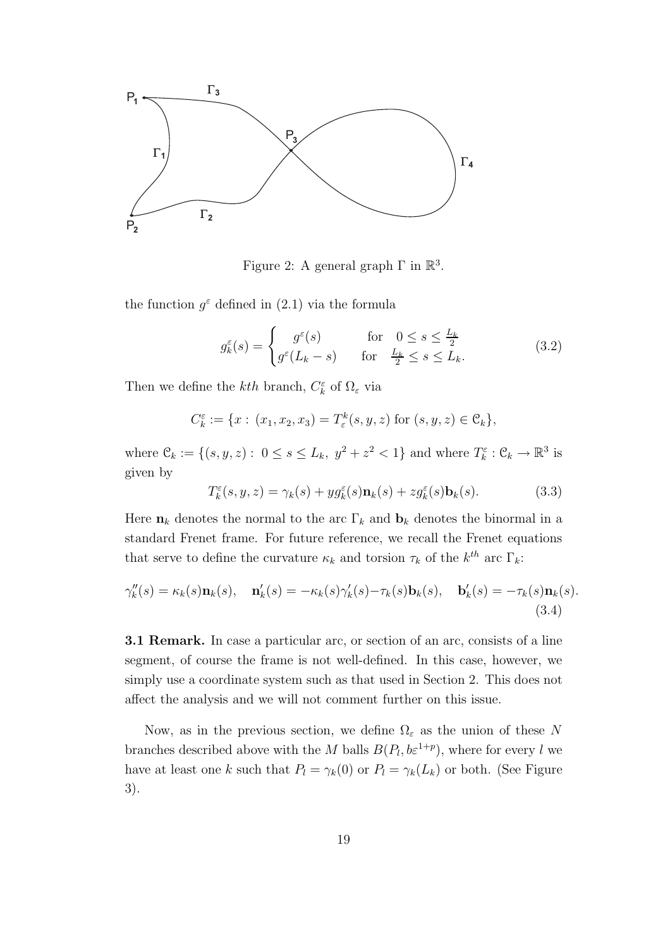

Figure 2: A general graph  $\Gamma$  in  $\mathbb{R}^3$ .

the function  $q^{\epsilon}$  defined in (2.1) via the formula

$$
g_k^{\varepsilon}(s) = \begin{cases} g^{\varepsilon}(s) & \text{for } 0 \le s \le \frac{L_k}{2} \\ g^{\varepsilon}(L_k - s) & \text{for } \frac{L_k}{2} \le s \le L_k. \end{cases}
$$
(3.2)

Then we define the  $kth$  branch,  $C_k^{\varepsilon}$  of  $\Omega_{\varepsilon}$  via

$$
C_k^{\varepsilon} := \{ x : (x_1, x_2, x_3) = T_{\varepsilon}^k(s, y, z) \text{ for } (s, y, z) \in \mathcal{C}_k \},
$$

where  $\mathcal{C}_k := \{(s, y, z): 0 \le s \le L_k, y^2 + z^2 < 1\}$  and where  $T_k^{\varepsilon} : \mathcal{C}_k \to \mathbb{R}^3$  is given by

$$
T_k^{\varepsilon}(s, y, z) = \gamma_k(s) + y g_k^{\varepsilon}(s) \mathbf{n}_k(s) + z g_k^{\varepsilon}(s) \mathbf{b}_k(s).
$$
 (3.3)

Here  $\mathbf{n}_k$  denotes the normal to the arc  $\Gamma_k$  and  $\mathbf{b}_k$  denotes the binormal in a standard Frenet frame. For future reference, we recall the Frenet equations that serve to define the curvature  $\kappa_k$  and torsion  $\tau_k$  of the  $k^{th}$  arc  $\Gamma_k$ :

$$
\gamma_k''(s) = \kappa_k(s)\mathbf{n}_k(s), \quad \mathbf{n}'_k(s) = -\kappa_k(s)\gamma'_k(s) - \tau_k(s)\mathbf{b}_k(s), \quad \mathbf{b}'_k(s) = -\tau_k(s)\mathbf{n}_k(s).
$$
\n(3.4)

**3.1 Remark.** In case a particular arc, or section of an arc, consists of a line segment, of course the frame is not well-defined. In this case, however, we simply use a coordinate system such as that used in Section 2. This does not affect the analysis and we will not comment further on this issue.

Now, as in the previous section, we define  $\Omega_{\varepsilon}$  as the union of these N branches described above with the M balls  $B(P_l, b\varepsilon^{1+p})$ , where for every l we have at least one k such that  $P_l = \gamma_k(0)$  or  $P_l = \gamma_k(L_k)$  or both. (See Figure 3).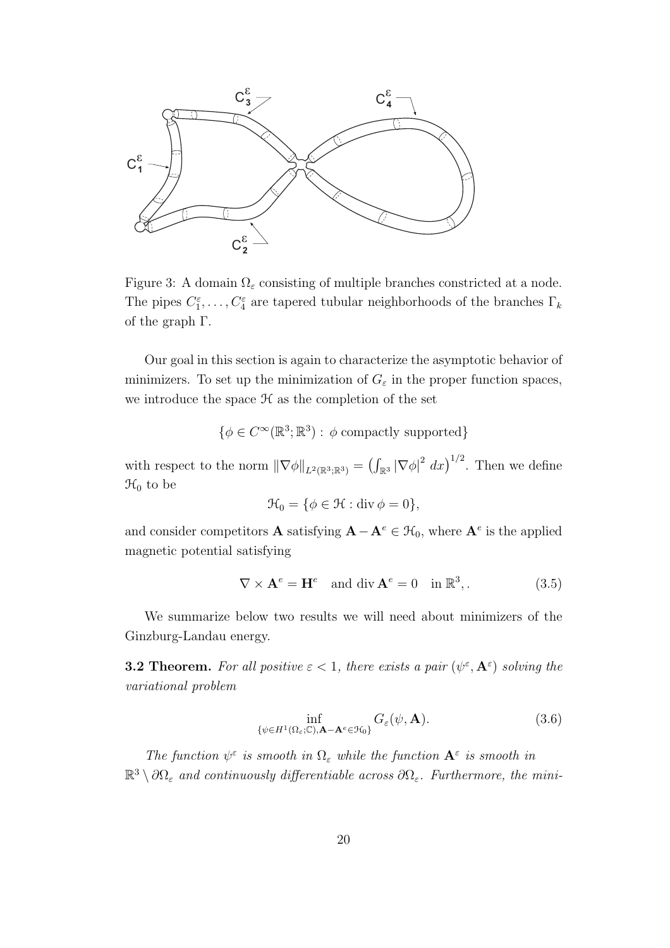

Figure 3: A domain  $\Omega_{\varepsilon}$  consisting of multiple branches constricted at a node. The pipes  $C_1^{\varepsilon}, \ldots, C_4^{\varepsilon}$  are tapered tubular neighborhoods of the branches  $\Gamma_k$ of the graph Γ.

Our goal in this section is again to characterize the asymptotic behavior of minimizers. To set up the minimization of  $G_{\varepsilon}$  in the proper function spaces, we introduce the space  $H$  as the completion of the set

$$
\{\phi \in C^{\infty}(\mathbb{R}^3; \mathbb{R}^3) : \phi \text{ compactly supported}\}
$$

with respect to the norm  $\|\nabla \phi\|_{L^2(\mathbb{R}^3;\mathbb{R}^3)} = (\int_{\mathbb{R}^3} |\nabla \phi|^2 dx)^{1/2}$ . Then we define  $\mathfrak{H}_0$  to be

$$
\mathcal{H}_0 = \{ \phi \in \mathcal{H} : \text{div } \phi = 0 \},
$$

and consider competitors **A** satisfying  $A - A^e \in \mathcal{H}_0$ , where  $A^e$  is the applied magnetic potential satisfying

$$
\nabla \times \mathbf{A}^e = \mathbf{H}^e \quad \text{and div } \mathbf{A}^e = 0 \quad \text{in } \mathbb{R}^3,
$$
 (3.5)

We summarize below two results we will need about minimizers of the Ginzburg-Landau energy.

**3.2 Theorem.** For all positive  $\varepsilon < 1$ , there exists a pair  $(\psi^{\varepsilon}, \mathbf{A}^{\varepsilon})$  solving the variational problem

$$
\inf_{\{\psi \in H^1(\Omega_{\varepsilon}; \mathbb{C}), \mathbf{A} - \mathbf{A}^e \in \mathcal{H}_0\}} G_{\varepsilon}(\psi, \mathbf{A}).
$$
\n(3.6)

The function  $\psi^{\varepsilon}$  is smooth in  $\Omega_{\varepsilon}$  while the function  $A^{\varepsilon}$  is smooth in  $\mathbb{R}^3 \setminus \partial \Omega_{\varepsilon}$  and continuously differentiable across  $\partial \Omega_{\varepsilon}$ . Furthermore, the mini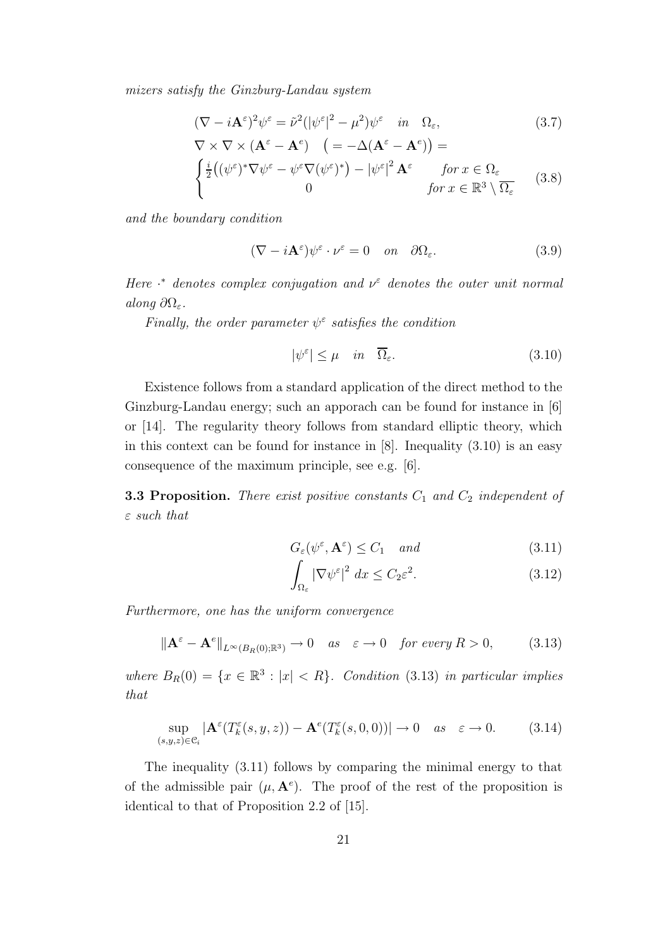mizers satisfy the Ginzburg-Landau system

$$
(\nabla - i\mathbf{A}^{\varepsilon})^{2} \psi^{\varepsilon} = \tilde{\nu}^{2} (|\psi^{\varepsilon}|^{2} - \mu^{2}) \psi^{\varepsilon} \quad in \quad \Omega_{\varepsilon},
$$
\n
$$
\nabla \times \nabla \times (\mathbf{A}^{\varepsilon} - \mathbf{A}^{\varepsilon}) \quad ( = -\Delta(\mathbf{A}^{\varepsilon} - \mathbf{A}^{\varepsilon})) =
$$
\n
$$
\begin{cases}\n\frac{i}{2} ((\psi^{\varepsilon})^{*} \nabla \psi^{\varepsilon} - \psi^{\varepsilon} \nabla (\psi^{\varepsilon})^{*}) - |\psi^{\varepsilon}|^{2} \mathbf{A}^{\varepsilon} & \text{for } x \in \Omega_{\varepsilon} \\
0 & \text{for } x \in \mathbb{R}^{3} \setminus \overline{\Omega_{\varepsilon}}\n\end{cases}
$$
\n(3.8)

and the boundary condition

$$
(\nabla - i\mathbf{A}^{\varepsilon})\psi^{\varepsilon} \cdot \nu^{\varepsilon} = 0 \quad on \quad \partial\Omega_{\varepsilon}.
$$
 (3.9)

Here  $\cdot^*$  denotes complex conjugation and  $\nu^{\varepsilon}$  denotes the outer unit normal along  $\partial\Omega_{\varepsilon}$ .

Finally, the order parameter  $\psi^{\varepsilon}$  satisfies the condition

$$
|\psi^{\varepsilon}| \le \mu \quad in \quad \overline{\Omega}_{\varepsilon}.\tag{3.10}
$$

Existence follows from a standard application of the direct method to the Ginzburg-Landau energy; such an apporach can be found for instance in [6] or [14]. The regularity theory follows from standard elliptic theory, which in this context can be found for instance in [8]. Inequality (3.10) is an easy consequence of the maximum principle, see e.g. [6].

**3.3 Proposition.** There exist positive constants  $C_1$  and  $C_2$  independent of  $\varepsilon$  such that

$$
G_{\varepsilon}(\psi^{\varepsilon}, \mathbf{A}^{\varepsilon}) \le C_1 \quad \text{and} \tag{3.11}
$$

$$
\int_{\Omega_{\varepsilon}} |\nabla \psi^{\varepsilon}|^2 dx \le C_2 \varepsilon^2. \tag{3.12}
$$

Furthermore, one has the uniform convergence

$$
\|\mathbf{A}^{\varepsilon} - \mathbf{A}^e\|_{L^{\infty}(B_R(0); \mathbb{R}^3)} \to 0 \quad \text{as} \quad \varepsilon \to 0 \quad \text{for every } R > 0,
$$
 (3.13)

where  $B_R(0) = \{x \in \mathbb{R}^3 : |x| < R\}$ . Condition (3.13) in particular implies that

$$
\sup_{(s,y,z)\in\mathcal{C}_i} |\mathbf{A}^{\varepsilon}(T_k^{\varepsilon}(s,y,z)) - \mathbf{A}^{\varepsilon}(T_k^{\varepsilon}(s,0,0))| \to 0 \quad as \quad \varepsilon \to 0. \tag{3.14}
$$

The inequality (3.11) follows by comparing the minimal energy to that of the admissible pair  $(\mu, \mathbf{A}^e)$ . The proof of the rest of the proposition is identical to that of Proposition 2.2 of [15].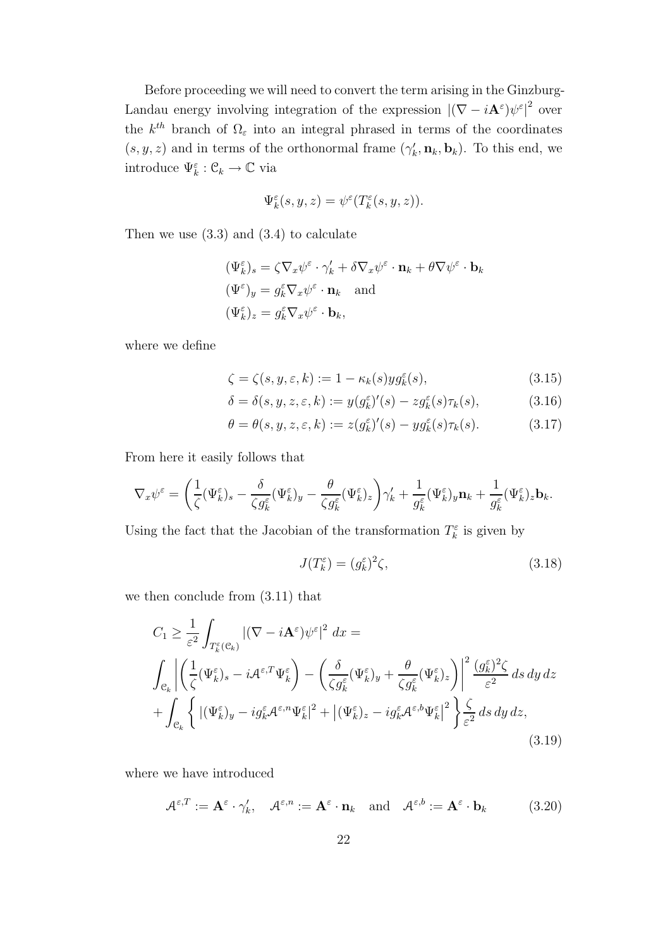Before proceeding we will need to convert the term arising in the Ginzburg-Landau energy involving integration of the expression  $|(\nabla - iA^{\varepsilon})\psi^{\varepsilon}|^2$  over the  $k^{th}$  branch of  $\Omega_{\varepsilon}$  into an integral phrased in terms of the coordinates  $(s, y, z)$  and in terms of the orthonormal frame  $(\gamma'_k, \mathbf{n}_k, \mathbf{b}_k)$ . To this end, we introduce  $\Psi_k^{\varepsilon} : \mathcal{C}_k \to \mathbb{C}$  via

$$
\Psi_k^\varepsilon(s,y,z)=\psi^\varepsilon(T_k^\varepsilon(s,y,z)).
$$

Then we use  $(3.3)$  and  $(3.4)$  to calculate

$$
\begin{aligned}\n(\Psi_k^{\varepsilon})_s &= \zeta \nabla_x \psi^{\varepsilon} \cdot \gamma_k' + \delta \nabla_x \psi^{\varepsilon} \cdot \mathbf{n}_k + \theta \nabla \psi^{\varepsilon} \cdot \mathbf{b}_k \\
(\Psi^{\varepsilon})_y &= g_k^{\varepsilon} \nabla_x \psi^{\varepsilon} \cdot \mathbf{n}_k \quad \text{and} \\
(\Psi_k^{\varepsilon})_z &= g_k^{\varepsilon} \nabla_x \psi^{\varepsilon} \cdot \mathbf{b}_k,\n\end{aligned}
$$

where we define

$$
\zeta = \zeta(s, y, \varepsilon, k) := 1 - \kappa_k(s) y g_k^{\varepsilon}(s), \tag{3.15}
$$

$$
\delta = \delta(s, y, z, \varepsilon, k) := y(g_k^{\varepsilon})'(s) - zg_k^{\varepsilon}(s)\tau_k(s), \tag{3.16}
$$

$$
\theta = \theta(s, y, z, \varepsilon, k) := z(g_k^{\varepsilon})'(s) - yg_k^{\varepsilon}(s)\tau_k(s). \tag{3.17}
$$

From here it easily follows that

$$
\nabla_x\psi^\varepsilon=\bigg(\frac{1}{\zeta}(\Psi^\varepsilon_k)_s-\frac{\delta}{\zeta g^\varepsilon_k}(\Psi^\varepsilon_k)_y-\frac{\theta}{\zeta g^\varepsilon_k}(\Psi^\varepsilon_k)_z\bigg)\gamma_k'+\frac{1}{g^\varepsilon_k}(\Psi^\varepsilon_k)_y\mathbf{n}_k+\frac{1}{g^\varepsilon_k}(\Psi^\varepsilon_k)_z\mathbf{b}_k.
$$

Using the fact that the Jacobian of the transformation  $T_k^{\varepsilon}$  is given by

$$
J(T_k^{\varepsilon}) = (g_k^{\varepsilon})^2 \zeta,\tag{3.18}
$$

we then conclude from (3.11) that

$$
C_{1} \geq \frac{1}{\varepsilon^{2}} \int_{T_{k}^{\varepsilon}(\mathcal{C}_{k})} |(\nabla - i\mathbf{A}^{\varepsilon})\psi^{\varepsilon}|^{2} dx =
$$
  

$$
\int_{\mathcal{C}_{k}} \left| \left( \frac{1}{\zeta} (\Psi_{k}^{\varepsilon})_{s} - i \mathcal{A}^{\varepsilon,T} \Psi_{k}^{\varepsilon} \right) - \left( \frac{\delta}{\zeta g_{k}^{\varepsilon}} (\Psi_{k}^{\varepsilon})_{y} + \frac{\theta}{\zeta g_{k}^{\varepsilon}} (\Psi_{k}^{\varepsilon})_{z} \right) \right|^{2} \frac{(g_{k}^{\varepsilon})^{2} \zeta}{\varepsilon^{2}} ds dy dz
$$
  

$$
+ \int_{\mathcal{C}_{k}} \left\{ |(\Psi_{k}^{\varepsilon})_{y} - i g_{k}^{\varepsilon} \mathcal{A}^{\varepsilon,n} \Psi_{k}^{\varepsilon}|^{2} + |(\Psi_{k}^{\varepsilon})_{z} - i g_{k}^{\varepsilon} \mathcal{A}^{\varepsilon,h} \Psi_{k}^{\varepsilon}|^{2} \right\} \frac{\zeta}{\varepsilon^{2}} ds dy dz,
$$
(3.19)

where we have introduced

$$
\mathcal{A}^{\varepsilon,T} := \mathbf{A}^{\varepsilon} \cdot \gamma_k', \quad \mathcal{A}^{\varepsilon,n} := \mathbf{A}^{\varepsilon} \cdot \mathbf{n}_k \quad \text{and} \quad \mathcal{A}^{\varepsilon,b} := \mathbf{A}^{\varepsilon} \cdot \mathbf{b}_k \tag{3.20}
$$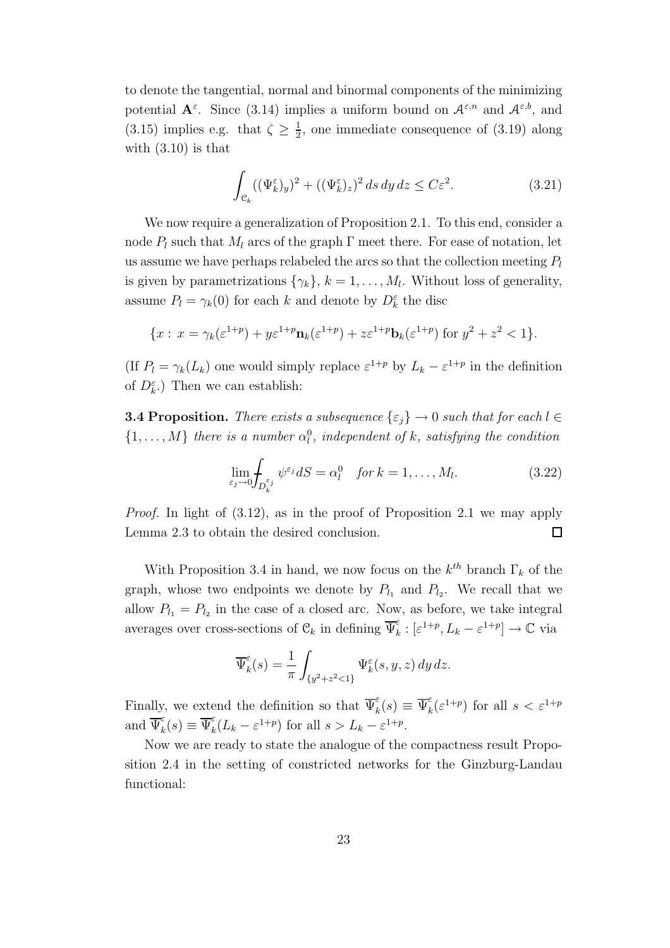to denote the tangential, normal and binormal components of the minimizing potential  $A^{\varepsilon}$ . Since (3.14) implies a uniform bound on  $A^{\varepsilon,n}$  and  $A^{\varepsilon,b}$ , and (3.15) implies e.g. that  $\zeta \geq \frac{1}{2}$ , one immediate consequence of (3.19) along with  $(3.10)$  is that

$$
\int_{\mathcal{C}_k} ((\Psi_k^{\varepsilon})_y)^2 + ((\Psi_k^{\varepsilon})_z)^2 ds dy dz \le C\varepsilon^2.
$$
\n(3.21)

We now require a generalization of Proposition 2.1. To this end, consider a node  $P_l$  such that  $M_l$  arcs of the graph  $\Gamma$  meet there. For ease of notation, let us assume we have perhaps relabeled the arcs so that the collection meeting  $P_l$ is given by parametrizations  $\{\gamma_k\}, k = 1, \ldots, M_l$ . Without loss of generality, assume  $P_l = \gamma_k(0)$  for each k and denote by  $D_k^{\varepsilon}$  the disc

$$
\{x: x = \gamma_k(\varepsilon^{1+p}) + y\varepsilon^{1+p}\mathbf{n}_k(\varepsilon^{1+p}) + z\varepsilon^{1+p}\mathbf{b}_k(\varepsilon^{1+p}) \text{ for } y^2 + z^2 < 1\}.
$$

(If  $P_l = \gamma_k(L_k)$  one would simply replace  $\varepsilon^{1+p}$  by  $L_k - \varepsilon^{1+p}$  in the definition of  $D_k^{\varepsilon}$ .) Then we can establish:

**3.4 Proposition.** There exists a subsequence  $\{\varepsilon_i\} \to 0$  such that for each  $l \in$  $\{1,\ldots,M\}$  there is a number  $\alpha_l^0$ , independent of k, satisfying the condition

$$
\lim_{\varepsilon_j \to 0} \oint_{D_k^{\varepsilon_j}} \psi^{\varepsilon_j} dS = \alpha_l^0 \quad \text{for } k = 1, \dots, M_l. \tag{3.22}
$$

Proof. In light of (3.12), as in the proof of Proposition 2.1 we may apply Lemma 2.3 to obtain the desired conclusion.  $\Box$ 

With Proposition 3.4 in hand, we now focus on the  $k^{th}$  branch  $\Gamma_k$  of the graph, whose two endpoints we denote by  $P_{l_1}$  and  $P_{l_2}$ . We recall that we allow  $P_{l_1} = P_{l_2}$  in the case of a closed arc. Now, as before, we take integral averages over cross-sections of  $\mathcal{C}_k$  in defining  $\overline{\Psi}_k^{\varepsilon} : [\varepsilon^{1+p}, L_k - \varepsilon^{1+p}] \to \mathbb{C}$  via

$$
\overline{\Psi}_k^{\varepsilon}(s) = \frac{1}{\pi} \int_{\{y^2 + z^2 < 1\}} \Psi_k^{\varepsilon}(s, y, z) \, dy \, dz.
$$

Finally, we extend the definition so that  $\overline{\Psi}_k^{\varepsilon}(s) \equiv \overline{\Psi}_k^{\varepsilon}(\varepsilon^{1+p})$  for all  $s < \varepsilon^{1+p}$ and  $\overline{\Psi}_{k}^{\varepsilon}(s) \equiv \overline{\Psi}_{k}^{\varepsilon}(L_{k} - \varepsilon^{1+p})$  for all  $s > L_{k} - \varepsilon^{1+p}$ .

Now we are ready to state the analogue of the compactness result Proposition 2.4 in the setting of constricted networks for the Ginzburg-Landau functional: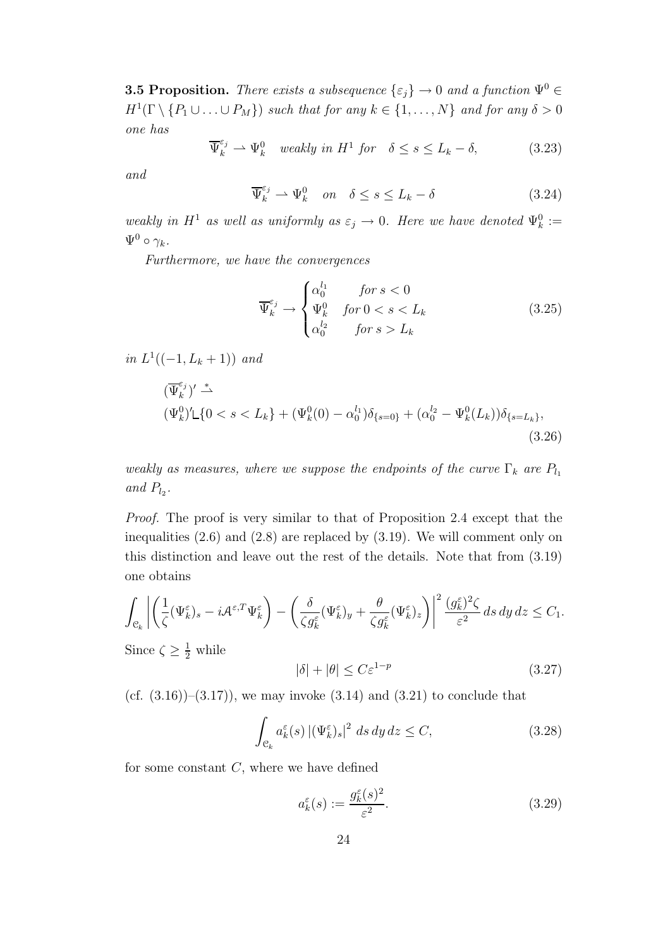**3.5 Proposition.** There exists a subsequence  $\{\varepsilon_j\} \to 0$  and a function  $\Psi^0 \in$  $H^1(\Gamma \setminus \{P_1 \cup \ldots \cup P_M\})$  such that for any  $k \in \{1, \ldots, N\}$  and for any  $\delta > 0$ one has

$$
\overline{\Psi}_k^{\varepsilon_j} \rightharpoonup \Psi_k^0 \quad weakly \ in \ H^1 \ for \quad \delta \le s \le L_k - \delta,\tag{3.23}
$$

and

$$
\overline{\Psi}_{k}^{\varepsilon_{j}} \rightharpoonup \Psi_{k}^{0} \quad on \quad \delta \le s \le L_{k} - \delta \tag{3.24}
$$

weakly in  $H^1$  as well as uniformly as  $\varepsilon_j \to 0$ . Here we have denoted  $\Psi_k^0 :=$  $\Psi^0 \circ \gamma_k$ .

Furthermore, we have the convergences

$$
\overline{\Psi}_{k}^{\varepsilon_{j}} \to \begin{cases}\n\alpha_{0}^{l_{1}} & \text{for } s < 0 \\
\Psi_{k}^{0} & \text{for } 0 < s < L_{k} \\
\alpha_{0}^{l_{2}} & \text{for } s > L_{k}\n\end{cases}
$$
\n(3.25)

in  $L^1((-1, L_k + 1))$  and

$$
(\overline{\Psi}_k^{\varepsilon_j})' \stackrel{*}{\rightharpoonup} (\Psi_k^0)' \mathcal{L}\{0 < s < L_k\} + (\Psi_k^0(0) - \alpha_0^{l_1})\delta_{\{s=0\}} + (\alpha_0^{l_2} - \Psi_k^0(L_k))\delta_{\{s=L_k\}},
$$
\n(3.26)

weakly as measures, where we suppose the endpoints of the curve  $\Gamma_k$  are  $P_{l_1}$ and  $P_{l_2}$ .

Proof. The proof is very similar to that of Proposition 2.4 except that the inequalities (2.6) and (2.8) are replaced by (3.19). We will comment only on this distinction and leave out the rest of the details. Note that from (3.19) one obtains

$$
\int_{\mathcal{C}_k} \left| \left( \frac{1}{\zeta} (\Psi_k^{\varepsilon})_s - i \mathcal{A}^{\varepsilon, T} \Psi_k^{\varepsilon} \right) - \left( \frac{\delta}{\zeta g_k^{\varepsilon}} (\Psi_k^{\varepsilon})_y + \frac{\theta}{\zeta g_k^{\varepsilon}} (\Psi_k^{\varepsilon})_z \right) \right|^2 \frac{(g_k^{\varepsilon})^2 \zeta}{\varepsilon^2} ds \, dy \, dz \le C_1.
$$

Since  $\zeta \geq \frac{1}{2}$  while

$$
|\delta| + |\theta| \le C\varepsilon^{1-p} \tag{3.27}
$$

(cf.  $(3.16)$ )– $(3.17)$ ), we may invoke  $(3.14)$  and  $(3.21)$  to conclude that

$$
\int_{\mathcal{C}_k} a_k^{\varepsilon}(s) \left| (\Psi_k^{\varepsilon})_s \right|^2 ds dy dz \le C,
$$
\n(3.28)

for some constant  $C$ , where we have defined

$$
a_k^{\varepsilon}(s) := \frac{g_k^{\varepsilon}(s)^2}{\varepsilon^2}.
$$
\n(3.29)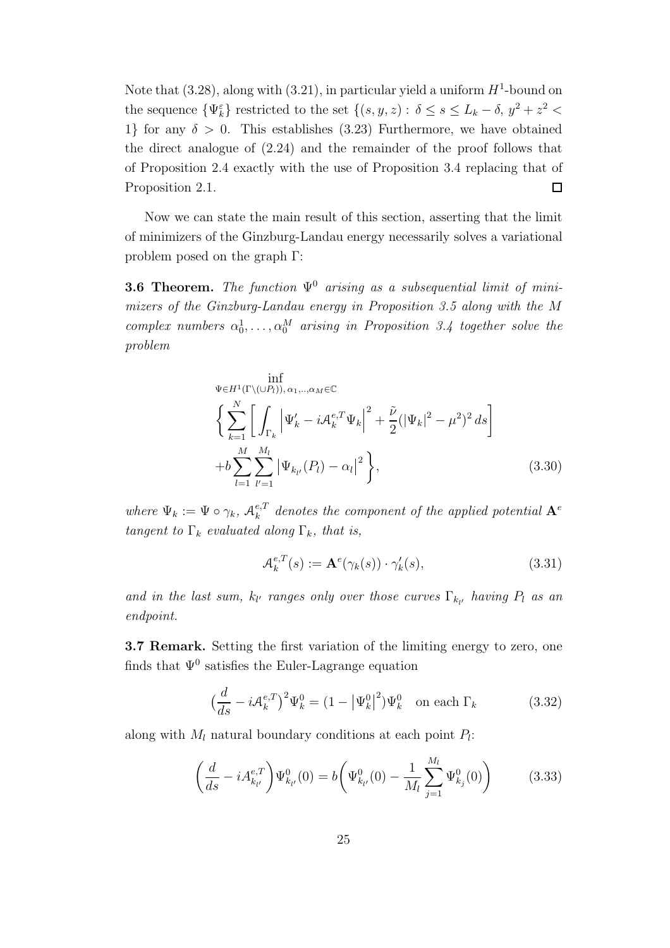Note that  $(3.28)$ , along with  $(3.21)$ , in particular yield a uniform  $H^1$ -bound on the sequence  $\{\Psi_k^{\varepsilon}\}\)$  restricted to the set  $\{(s,y,z): \delta \leq s \leq L_k - \delta, y^2 + z^2 < \delta\}$ 1} for any  $\delta > 0$ . This establishes (3.23) Furthermore, we have obtained the direct analogue of (2.24) and the remainder of the proof follows that of Proposition 2.4 exactly with the use of Proposition 3.4 replacing that of Proposition 2.1.  $\Box$ 

Now we can state the main result of this section, asserting that the limit of minimizers of the Ginzburg-Landau energy necessarily solves a variational problem posed on the graph Γ:

**3.6 Theorem.** The function  $\Psi^0$  arising as a subsequential limit of minimizers of the Ginzburg-Landau energy in Proposition 3.5 along with the M complex numbers  $\alpha_0^1, \ldots, \alpha_0^M$  arising in Proposition 3.4 together solve the problem

$$
\inf_{\Psi \in H^1(\Gamma \setminus (\cup P_l)), \alpha_1, \dots, \alpha_M \in \mathbb{C}} \left\{ \sum_{k=1}^N \left[ \int_{\Gamma_k} \left| \Psi'_k - i \mathcal{A}_k^{e,T} \Psi_k \right|^2 + \frac{\tilde{\nu}}{2} (|\Psi_k|^2 - \mu^2)^2 ds \right] + b \sum_{l=1}^M \sum_{l'=1}^{M_l} |\Psi_{k_{l'}}(P_l) - \alpha_l|^2 \right\},
$$
\n(3.30)

where  $\Psi_k := \Psi \circ \gamma_k$ ,  $\mathcal{A}_k^{e,T}$  denotes the component of the applied potential  $\mathbf{A}^e$ tangent to  $\Gamma_k$  evaluated along  $\Gamma_k$ , that is,

$$
\mathcal{A}_k^{e,T}(s) := \mathbf{A}^e(\gamma_k(s)) \cdot \gamma'_k(s), \tag{3.31}
$$

and in the last sum,  $k_{l'}$  ranges only over those curves  $\Gamma_{k_{l'}}$  having  $P_l$  as an endpoint.

**3.7 Remark.** Setting the first variation of the limiting energy to zero, one finds that  $\Psi^0$  satisfies the Euler-Lagrange equation

$$
\left(\frac{d}{ds} - i\mathcal{A}_k^{e,T}\right)^2 \Psi_k^0 = \left(1 - \left|\Psi_k^0\right|^2\right) \Psi_k^0 \quad \text{on each } \Gamma_k \tag{3.32}
$$

along with  $M_l$  natural boundary conditions at each point  $P_l$ :

$$
\left(\frac{d}{ds} - iA_{k_{l'}}^{e,T}\right)\Psi_{k_{l'}}^0(0) = b\left(\Psi_{k_{l'}}^0(0) - \frac{1}{M_l}\sum_{j=1}^{M_l} \Psi_{k_j}^0(0)\right) \tag{3.33}
$$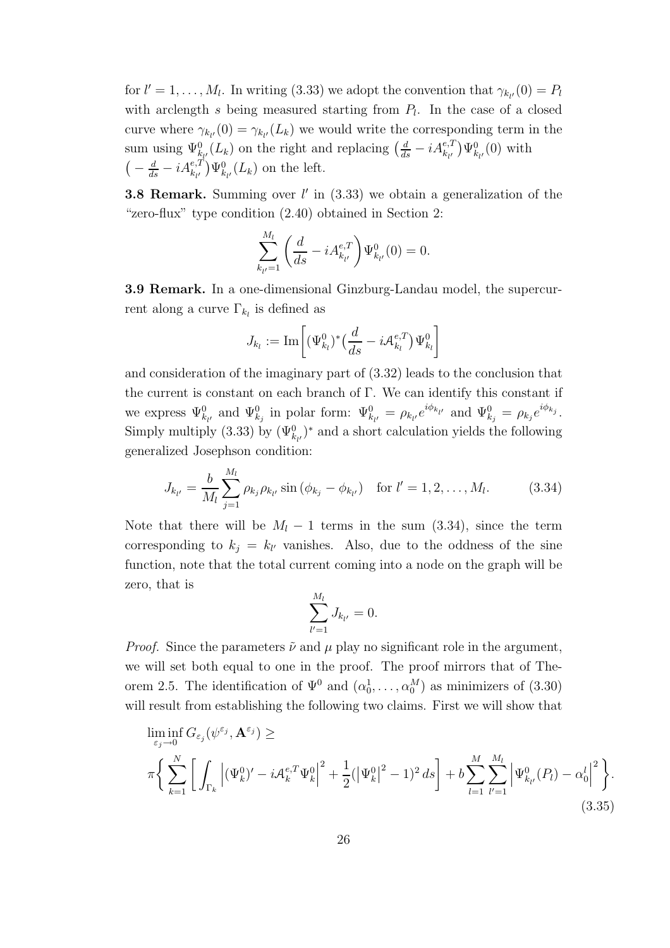for  $l' = 1, \ldots, M_l$ . In writing (3.33) we adopt the convention that  $\gamma_{k_{l'}}(0) = P_l$ with arclength s being measured starting from  $P_l$ . In the case of a closed curve where  $\gamma_{k_l}(0) = \gamma_{k_l}(L_k)$  we would write the corresponding term in the sum using  $\Psi_{k_{l'}}^0(L_k)$  on the right and replacing  $\left(\frac{d}{ds} - iA_{k_{l'}}^{e,T}\right)\Psi_{k_{l'}}^0(0)$  with  $\left(-\frac{d}{ds}-iA_{k_{l'}}^{e,T}\right)\Psi_{k_{l'}}^{0}(L_{k})$  on the left.

**3.8 Remark.** Summing over  $l'$  in  $(3.33)$  we obtain a generalization of the "zero-flux" type condition (2.40) obtained in Section 2:

$$
\sum_{k_{l'}=1}^{M_l} \left( \frac{d}{ds} - i A_{k_{l'}}^{e,T} \right) \Psi_{k_{l'}}^0(0) = 0.
$$

**3.9 Remark.** In a one-dimensional Ginzburg-Landau model, the supercurrent along a curve  $\Gamma_{k_l}$  is defined as

$$
J_{k_l} := \mathrm{Im}\bigg[ (\Psi_{k_l}^0)^* \big( \frac{d}{ds} - i \mathcal{A}_{k_l}^{e,T} \big) \Psi_{k_l}^0 \bigg]
$$

and consideration of the imaginary part of (3.32) leads to the conclusion that the current is constant on each branch of Γ. We can identify this constant if we express  $\Psi_{k_l}^0$  and  $\Psi_{k_j}^0$  in polar form:  $\Psi_{k_{l'}}^0 = \rho_{k_{l'}} e^{i\phi_{k_{l'}}}$  and  $\Psi_{k_j}^0 = \rho_{k_j} e^{i\phi_{k_j}}$ . Simply multiply (3.33) by  $(\Psi_{k_{l'}}^{0})^*$  and a short calculation yields the following generalized Josephson condition:

$$
J_{k_{l'}} = \frac{b}{M_{l}} \sum_{j=1}^{M_{l}} \rho_{k_{j}} \rho_{k_{l'}} \sin \left(\phi_{k_{j}} - \phi_{k_{l'}}\right) \text{ for } l' = 1, 2, ..., M_{l}. \tag{3.34}
$$

Note that there will be  $M_l - 1$  terms in the sum (3.34), since the term corresponding to  $k_j = k_{l'}$  vanishes. Also, due to the oddness of the sine function, note that the total current coming into a node on the graph will be zero, that is

$$
\sum_{l'=1}^{M_l} J_{k_{l'}} = 0.
$$

*Proof.* Since the parameters  $\tilde{\nu}$  and  $\mu$  play no significant role in the argument, we will set both equal to one in the proof. The proof mirrors that of Theorem 2.5. The identification of  $\Psi^0$  and  $(\alpha_0^1, \ldots, \alpha_0^M)$  as minimizers of  $(3.30)$ will result from establishing the following two claims. First we will show that

$$
\liminf_{\varepsilon_j \to 0} G_{\varepsilon_j}(\psi^{\varepsilon_j}, \mathbf{A}^{\varepsilon_j}) \ge
$$
\n
$$
\pi \left\{ \sum_{k=1}^N \left[ \int_{\Gamma_k} \left| (\Psi_k^0)' - i \mathcal{A}_k^{e,T} \Psi_k^0 \right|^2 + \frac{1}{2} (\left| \Psi_k^0 \right|^2 - 1)^2 ds \right] + b \sum_{l=1}^M \sum_{l'=1}^{M_l} \left| \Psi_{k_{l'}}^0(P_l) - \alpha_0^l \right|^2 \right\}.
$$
\n(3.35)

.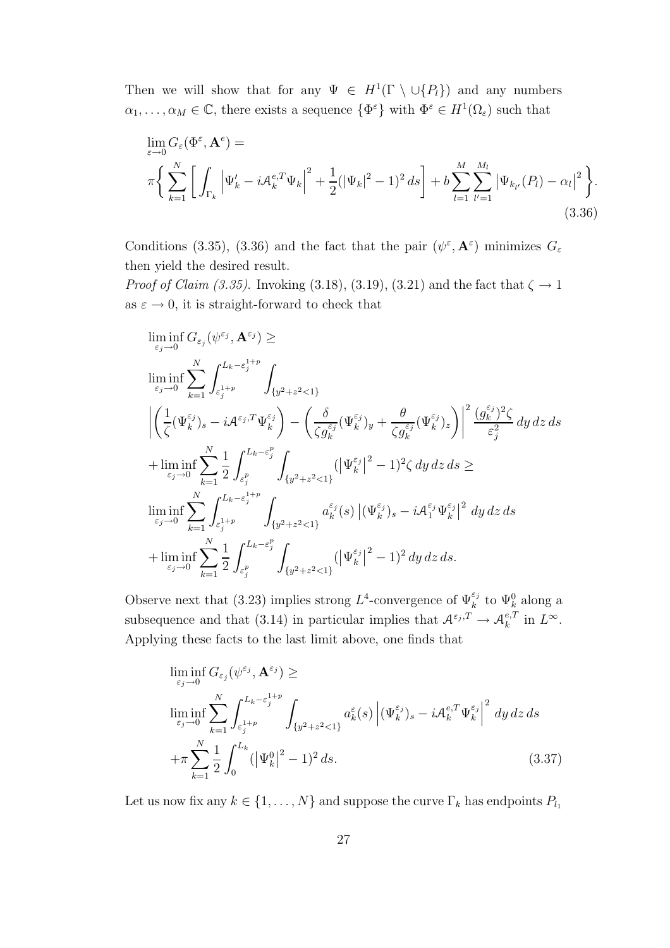Then we will show that for any  $\Psi \in H^1(\Gamma \setminus \cup \{P_l\})$  and any numbers  $\alpha_1,\ldots,\alpha_M\in\mathbb{C}$ , there exists a sequence  $\{\Phi^{\varepsilon}\}\$  with  $\Phi^{\varepsilon}\in H^1(\Omega_{\varepsilon})$  such that

$$
\lim_{\varepsilon \to 0} G_{\varepsilon}(\Phi^{\varepsilon}, \mathbf{A}^{e}) =
$$
\n
$$
\pi \left\{ \sum_{k=1}^{N} \left[ \int_{\Gamma_{k}} \left| \Psi'_{k} - i \mathcal{A}_{k}^{e, T} \Psi_{k} \right|^{2} + \frac{1}{2} (|\Psi_{k}|^{2} - 1)^{2} ds \right] + b \sum_{l=1}^{M} \sum_{l'=1}^{M_{l}} \left| \Psi_{k_{l'}}(P_{l}) - \alpha_{l} \right|^{2} \right\}.
$$
\n(3.36)

Conditions (3.35), (3.36) and the fact that the pair  $(\psi^{\varepsilon}, \mathbf{A}^{\varepsilon})$  minimizes  $G_{\varepsilon}$ then yield the desired result.

*Proof of Claim (3.35).* Invoking (3.18), (3.19), (3.21) and the fact that  $\zeta \to 1$ as  $\varepsilon \to 0$ , it is straight-forward to check that

$$
\begin{split} &\liminf_{\varepsilon_{j}\to 0}G_{\varepsilon_{j}}(\psi^{\varepsilon_{j}},\mathbf{A}^{\varepsilon_{j}})\geq\\ &\liminf_{\varepsilon_{j}\to 0}\sum_{k=1}^{N}\int_{\varepsilon_{j}^{1+p}}^{L_{k}-\varepsilon_{j}^{1+p}}\int_{\{y^{2}+z^{2}<1\}}\\ &\left|\left(\frac{1}{\zeta}(\Psi_{k}^{\varepsilon_{j}})_{s}-i\mathcal{A}^{\varepsilon_{j},T}\Psi_{k}^{\varepsilon_{j}}\right)-\left(\frac{\delta}{\zeta g_{k}^{\varepsilon_{j}}}(\Psi_{k}^{\varepsilon_{j}})_{y}+\frac{\theta}{\zeta g_{k}^{\varepsilon_{j}}}(\Psi_{k}^{\varepsilon_{j}})_{z}\right)\right|^{2}\frac{(g_{k}^{\varepsilon_{j}})^{2}\zeta}{\varepsilon_{j}^{2}}\,dy\,dz\,ds\\ &+\liminf_{\varepsilon_{j}\to 0}\sum_{k=1}^{N}\frac{1}{2}\int_{\varepsilon_{j}^{p}}^{L_{k}-\varepsilon_{j}^{p}}\int_{\{y^{2}+z^{2}<1\}}(|\Psi_{k}^{\varepsilon_{j}}|^{2}-1)^{2}\zeta\,dy\,dz\,ds\geq\\ &\liminf_{\varepsilon_{j}\to 0}\sum_{k=1}^{N}\int_{\varepsilon_{j}^{1+p}}^{L_{k}-\varepsilon_{j}^{1+p}}\int_{\{y^{2}+z^{2}<1\}}a_{k}^{\varepsilon_{j}}(s)\,|(\Psi_{k}^{\varepsilon_{j}})_{s}-i\mathcal{A}_{1}^{\varepsilon_{j}}\Psi_{k}^{\varepsilon_{j}}|^{2}\,dy\,dz\,ds\\ &+\liminf_{\varepsilon_{j}\to 0}\sum_{k=1}^{N}\frac{1}{2}\int_{\varepsilon_{j}^{p}}^{L_{k}-\varepsilon_{j}^{p}}\int_{\{y^{2}+z^{2}<1\}}(|\Psi_{k}^{\varepsilon_{j}}|^{2}-1)^{2}\,dy\,dz\,ds. \end{split}
$$

Observe next that (3.23) implies strong  $L^4$ -convergence of  $\Psi_k^{\varepsilon_j}$  to  $\Psi_k^0$  along a subsequence and that (3.14) in particular implies that  $\mathcal{A}^{\varepsilon_j,T} \to \mathcal{A}_k^{\varepsilon,T}$  in  $L^{\infty}$ . Applying these facts to the last limit above, one finds that

$$
\liminf_{\varepsilon_j \to 0} G_{\varepsilon_j}(\psi^{\varepsilon_j}, \mathbf{A}^{\varepsilon_j}) \ge
$$
\n
$$
\liminf_{\varepsilon_j \to 0} \sum_{k=1}^N \int_{\varepsilon_j^{1+p}}^{L_k - \varepsilon_j^{1+p}} \int_{\{y^2 + z^2 < 1\}} a_k^{\varepsilon}(s) \left| (\Psi_k^{\varepsilon_j})_s - i \mathcal{A}_k^{e,T} \Psi_k^{\varepsilon_j} \right|^2 dy dz ds
$$
\n
$$
+ \pi \sum_{k=1}^N \frac{1}{2} \int_0^{L_k} (|\Psi_k^0|^2 - 1)^2 ds. \tag{3.37}
$$

Let us now fix any  $k \in \{1, ..., N\}$  and suppose the curve  $\Gamma_k$  has endpoints  $P_{l_1}$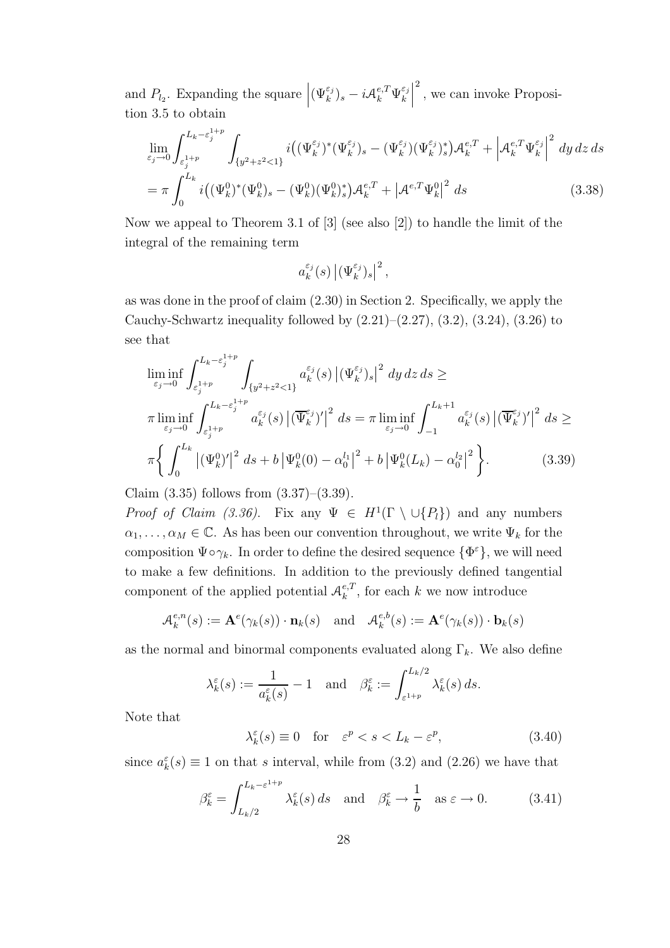and  $P_{l_2}$ . Expanding the square  $\left| (\Psi_k^{\varepsilon_j})_s - i \mathcal{A}_k^{e,T} \Psi_k^{\varepsilon_j} \right|$ <sup>2</sup>, we can invoke Proposition 3.5 to obtain

$$
\lim_{\varepsilon_j \to 0} \int_{\varepsilon_j^{1+p}}^{L_k - \varepsilon_j^{1+p}} \int_{\{y^2 + z^2 < 1\}} i \big( (\Psi_k^{\varepsilon_j})^* (\Psi_k^{\varepsilon_j})_s - (\Psi_k^{\varepsilon_j}) (\Psi_k^{\varepsilon_j})^* \big) \mathcal{A}_k^{e,T} + \left| \mathcal{A}_k^{e,T} \Psi_k^{\varepsilon_j} \right|^2 dy \, dz \, ds
$$
\n
$$
= \pi \int_0^{L_k} i \big( (\Psi_k^0)^* (\Psi_k^0)_s - (\Psi_k^0) (\Psi_k^0)^* \big) \mathcal{A}_k^{e,T} + \left| \mathcal{A}^{e,T} \Psi_k^0 \right|^2 \, ds \tag{3.38}
$$

Now we appeal to Theorem 3.1 of [3] (see also [2]) to handle the limit of the integral of the remaining term

$$
a_k^{\varepsilon_j}(s) \left| (\Psi_k^{\varepsilon_j})_s \right|^2,
$$

as was done in the proof of claim (2.30) in Section 2. Specifically, we apply the Cauchy-Schwartz inequality followed by  $(2.21)$ – $(2.27)$ ,  $(3.2)$ ,  $(3.24)$ ,  $(3.26)$  to see that

$$
\liminf_{\varepsilon_{j}\to 0} \int_{\varepsilon_{j}^{1+p}}^{L_{k}-\varepsilon_{j}^{1+p}} \int_{\{y^{2}+z^{2}<1\}} a_{k}^{\varepsilon_{j}}(s) \left|(\Psi_{k}^{\varepsilon_{j}})_{s}\right|^{2} dy dz ds \ge
$$
\n
$$
\pi \liminf_{\varepsilon_{j}\to 0} \int_{\varepsilon_{j}^{1+p}}^{L_{k}-\varepsilon_{j}^{1+p}} a_{k}^{\varepsilon_{j}}(s) \left|(\overline{\Psi}_{k}^{\varepsilon_{j}})'\right|^{2} ds = \pi \liminf_{\varepsilon_{j}\to 0} \int_{-1}^{L_{k}+1} a_{k}^{\varepsilon_{j}}(s) \left|(\overline{\Psi}_{k}^{\varepsilon_{j}})'\right|^{2} ds \ge
$$
\n
$$
\pi \left\{ \int_{0}^{L_{k}} \left|(\Psi_{k}^{0})'\right|^{2} ds + b \left|\Psi_{k}^{0}(0) - \alpha_{0}^{l_{1}}\right|^{2} + b \left|\Psi_{k}^{0}(L_{k}) - \alpha_{0}^{l_{2}}\right|^{2} \right\}.
$$
\n(3.39)

Claim  $(3.35)$  follows from  $(3.37)$ – $(3.39)$ .

*Proof of Claim (3.36)*. Fix any  $\Psi \in H^1(\Gamma \setminus \cup \{P_l\})$  and any numbers  $\alpha_1,\ldots,\alpha_M\in\mathbb{C}$ . As has been our convention throughout, we write  $\Psi_k$  for the composition  $\Psi \circ \gamma_k$ . In order to define the desired sequence  $\{\Phi^{\varepsilon}\}\,$ , we will need to make a few definitions. In addition to the previously defined tangential component of the applied potential  $A_k^{e,T}$ , for each k we now introduce

$$
\mathcal{A}_k^{e,n}(s) := \mathbf{A}^e(\gamma_k(s)) \cdot \mathbf{n}_k(s) \quad \text{and} \quad \mathcal{A}_k^{e,b}(s) := \mathbf{A}^e(\gamma_k(s)) \cdot \mathbf{b}_k(s)
$$

as the normal and binormal components evaluated along  $\Gamma_k$ . We also define

$$
\lambda_k^{\varepsilon}(s) := \frac{1}{a_k^{\varepsilon}(s)} - 1 \quad \text{and} \quad \beta_k^{\varepsilon} := \int_{\varepsilon^{1+p}}^{L_k/2} \lambda_k^{\varepsilon}(s) \, ds.
$$

Note that

$$
\lambda_k^{\varepsilon}(s) \equiv 0 \quad \text{for} \quad \varepsilon^p < s < L_k - \varepsilon^p,\tag{3.40}
$$

since  $a_k^{\varepsilon}(s) \equiv 1$  on that s interval, while from (3.2) and (2.26) we have that

$$
\beta_k^{\varepsilon} = \int_{L_k/2}^{L_k - \varepsilon^{1+p}} \lambda_k^{\varepsilon}(s) ds \quad \text{and} \quad \beta_k^{\varepsilon} \to \frac{1}{b} \quad \text{as } \varepsilon \to 0. \tag{3.41}
$$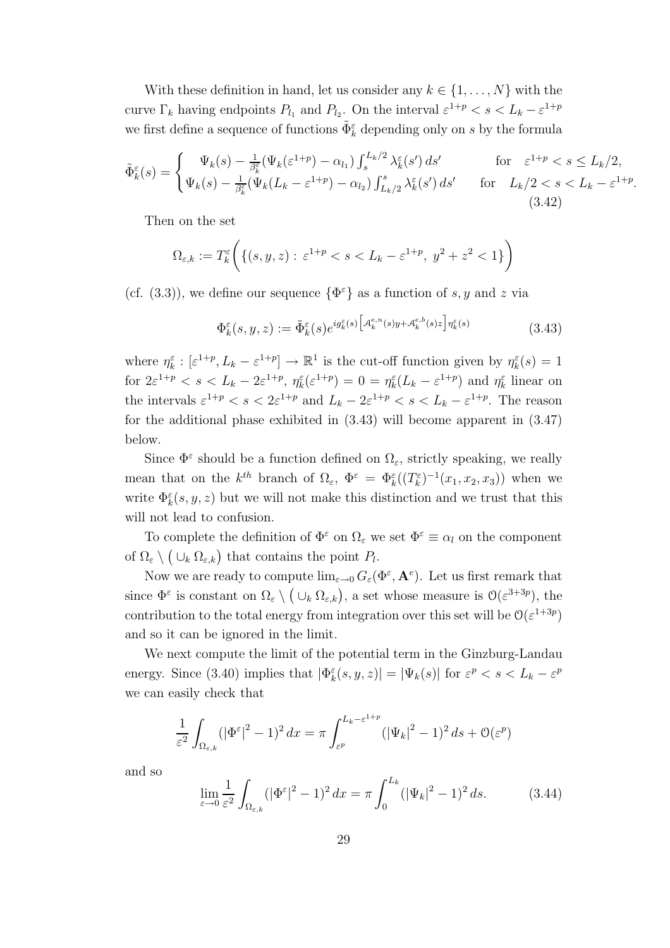With these definition in hand, let us consider any  $k \in \{1, \ldots, N\}$  with the curve  $\Gamma_k$  having endpoints  $P_{l_1}$  and  $P_{l_2}$ . On the interval  $\varepsilon^{1+p} < s < L_k - \varepsilon^{1+p}$ we first define a sequence of functions  $\tilde{\Phi}_k^{\varepsilon}$  depending only on s by the formula

$$
\tilde{\Phi}_k^{\varepsilon}(s) = \begin{cases} \Psi_k(s) - \frac{1}{\beta_k^{\varepsilon}} (\Psi_k(\varepsilon^{1+p}) - \alpha_{l_1}) \int_s^{L_k/2} \lambda_k^{\varepsilon}(s') ds' & \text{for } \varepsilon^{1+p} < s \le L_k/2, \\ \Psi_k(s) - \frac{1}{\beta_k^{\varepsilon}} (\Psi_k(L_k - \varepsilon^{1+p}) - \alpha_{l_2}) \int_{L_k/2}^s \lambda_k^{\varepsilon}(s') ds' & \text{for } L_k/2 < s < L_k - \varepsilon^{1+p}. \end{cases}
$$
\n(3.42)

Then on the set

$$
\Omega_{\varepsilon,k} := T_k^{\varepsilon} \bigg( \{ (s,y,z) : \, \varepsilon^{1+p} < s < L_k - \varepsilon^{1+p}, \ y^2 + z^2 < 1 \} \bigg)
$$

(cf. (3.3)), we define our sequence  $\{\Phi^{\varepsilon}\}\$ as a function of s, y and z via

$$
\Phi_k^{\varepsilon}(s, y, z) := \tilde{\Phi}_k^{\varepsilon}(s) e^{ig_k^{\varepsilon}(s) \left[ \mathcal{A}_k^{e, n}(s) y + \mathcal{A}_k^{e, b}(s) z \right] \eta_k^{\varepsilon}(s)} \tag{3.43}
$$

where  $\eta_k^{\varepsilon} : [\varepsilon^{1+p}, L_k - \varepsilon^{1+p}] \to \mathbb{R}^1$  is the cut-off function given by  $\eta_k^{\varepsilon}(s) = 1$ for  $2\varepsilon^{1+p} < s < L_k - 2\varepsilon^{1+p}$ ,  $\eta_k^{\varepsilon}(\varepsilon^{1+p}) = 0 = \eta_k^{\varepsilon}(L_k - \varepsilon^{1+p})$  and  $\eta_k^{\varepsilon}$  linear on the intervals  $\varepsilon^{1+p} < s < 2\varepsilon^{1+p}$  and  $L_k - 2\varepsilon^{1+p} < s < L_k - \varepsilon^{1+p}$ . The reason for the additional phase exhibited in (3.43) will become apparent in (3.47) below.

Since  $\Phi^{\varepsilon}$  should be a function defined on  $\Omega_{\varepsilon}$ , strictly speaking, we really mean that on the  $k^{th}$  branch of  $\Omega_{\varepsilon}$ ,  $\Phi^{\varepsilon} = \Phi_{k}^{\varepsilon}((T_{k}^{\varepsilon})^{-1}(x_1, x_2, x_3))$  when we write  $\Phi_k^{\varepsilon}(s, y, z)$  but we will not make this distinction and we trust that this will not lead to confusion.

To complete the definition of  $\Phi^{\varepsilon}$  on  $\Omega_{\varepsilon}$  we set  $\Phi^{\varepsilon} \equiv \alpha_l$  on the component of  $\Omega_{\varepsilon} \setminus (\cup_k \Omega_{\varepsilon,k})$  that contains the point  $P_l$ .

Now we are ready to compute  $\lim_{\varepsilon\to 0} G_{\varepsilon}(\Phi^{\varepsilon}, \mathbf{A}^e)$ . Let us first remark that since  $\Phi^{\varepsilon}$  is constant on  $\Omega_{\varepsilon} \setminus (\cup_k \Omega_{\varepsilon,k}),$  a set whose measure is  $\mathcal{O}(\varepsilon^{3+3p}),$  the contribution to the total energy from integration over this set will be  $\mathcal{O}(\varepsilon^{1+3p})$ and so it can be ignored in the limit.

We next compute the limit of the potential term in the Ginzburg-Landau energy. Since (3.40) implies that  $|\Phi_k^{\varepsilon}(s, y, z)| = |\Psi_k(s)|$  for  $\varepsilon^p < s < L_k - \varepsilon^p$ we can easily check that

$$
\frac{1}{\varepsilon^2} \int_{\Omega_{\varepsilon,k}} (|\Phi^{\varepsilon}|^2 - 1)^2 dx = \pi \int_{\varepsilon^p}^{L_k - \varepsilon^{1+p}} (|\Psi_k|^2 - 1)^2 ds + \mathcal{O}(\varepsilon^p)
$$

and so

$$
\lim_{\varepsilon \to 0} \frac{1}{\varepsilon^2} \int_{\Omega_{\varepsilon,k}} (|\Phi^{\varepsilon}|^2 - 1)^2 dx = \pi \int_0^{L_k} (|\Psi_k|^2 - 1)^2 ds. \tag{3.44}
$$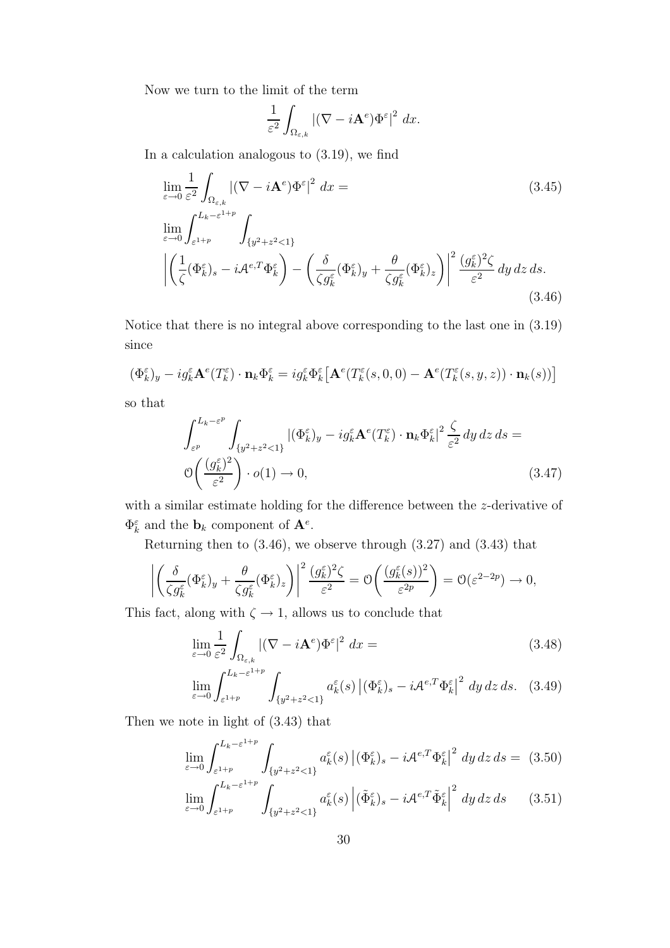Now we turn to the limit of the term

$$
\frac{1}{\varepsilon^2} \int_{\Omega_{\varepsilon,k}} |(\nabla - i\mathbf{A}^e) \Phi^{\varepsilon}|^2 \ dx.
$$

In a calculation analogous to (3.19), we find

$$
\lim_{\varepsilon \to 0} \frac{1}{\varepsilon^2} \int_{\Omega_{\varepsilon,k}} |(\nabla - i\mathbf{A}^e) \Phi^{\varepsilon}|^2 dx =
$$
\n
$$
\lim_{\varepsilon \to 0} \int_{\varepsilon^{1+p}}^{L_k - \varepsilon^{1+p}} \int_{\{y^2 + z^2 < 1\}} \left| \left( \frac{1}{\zeta} (\Phi_k^{\varepsilon})_s - i \mathcal{A}^{e,T} \Phi_k^{\varepsilon} \right) - \left( \frac{\delta}{\zeta g_k^{\varepsilon}} (\Phi_k^{\varepsilon})_y + \frac{\theta}{\zeta g_k^{\varepsilon}} (\Phi_k^{\varepsilon})_z \right) \right|^2 \frac{(g_k^{\varepsilon})^2 \zeta}{\varepsilon^2} dy dz ds.
$$
\n(3.46)

Notice that there is no integral above corresponding to the last one in (3.19) since

$$
(\Phi_k^{\varepsilon})_y - ig_k^{\varepsilon} \mathbf{A}^e(T_k^{\varepsilon}) \cdot \mathbf{n}_k \Phi_k^{\varepsilon} = ig_k^{\varepsilon} \Phi_k^{\varepsilon} \left[ \mathbf{A}^e(T_k^{\varepsilon}(s,0,0) - \mathbf{A}^e(T_k^{\varepsilon}(s,y,z)) \cdot \mathbf{n}_k(s)) \right]
$$

so that

$$
\int_{\varepsilon^p}^{L_k - \varepsilon^p} \int_{\{y^2 + z^2 < 1\}} |(\Phi_k^{\varepsilon})_y - ig_k^{\varepsilon} \mathbf{A}^e(T_k^{\varepsilon}) \cdot \mathbf{n}_k \Phi_k^{\varepsilon}|^2 \frac{\zeta}{\varepsilon^2} \, dy \, dz \, ds =
$$
\n
$$
\mathcal{O}\left(\frac{(g_k^{\varepsilon})^2}{\varepsilon^2}\right) \cdot o(1) \to 0,
$$
\n(3.47)

with a similar estimate holding for the difference between the *z*-derivative of  $\Phi_k^{\varepsilon}$  and the **b**<sub>k</sub> component of  $\mathbf{A}^e$ .

Returning then to (3.46), we observe through (3.27) and (3.43) that

$$
\left| \left( \frac{\delta}{\zeta g_k^{\varepsilon}} (\Phi_k^{\varepsilon})_y + \frac{\theta}{\zeta g_k^{\varepsilon}} (\Phi_k^{\varepsilon})_z \right) \right|^2 \frac{(g_k^{\varepsilon})^2 \zeta}{\varepsilon^2} = \mathcal{O}\left( \frac{(g_k^{\varepsilon}(s))^2}{\varepsilon^{2p}} \right) = \mathcal{O}(\varepsilon^{2-2p}) \to 0,
$$

This fact, along with  $\zeta \to 1$ , allows us to conclude that

$$
\lim_{\varepsilon \to 0} \frac{1}{\varepsilon^2} \int_{\Omega_{\varepsilon,k}} |(\nabla - i\mathbf{A}^e) \Phi^{\varepsilon}|^2 dx = \tag{3.48}
$$

$$
\lim_{\varepsilon \to 0} \int_{\varepsilon^{1+p}}^{L_k - \varepsilon^{1+p}} \int_{\{y^2 + z^2 < 1\}} a_k^{\varepsilon}(s) \left| (\Phi_k^{\varepsilon})_s - i \mathcal{A}^{e,T} \Phi_k^{\varepsilon} \right|^2 dy \, dz \, ds. \tag{3.49}
$$

Then we note in light of (3.43) that

$$
\lim_{\varepsilon \to 0} \int_{\varepsilon^{1+p}}^{L_k - \varepsilon^{1+p}} \int_{\{y^2 + z^2 < 1\}} a_k^{\varepsilon}(s) \left| (\Phi_k^{\varepsilon})_s - i \mathcal{A}^{e,T} \Phi_k^{\varepsilon} \right|^2 dy \, dz \, ds = (3.50)
$$

$$
\lim_{\varepsilon \to 0} \int_{\varepsilon^{1+p}}^{L_k - \varepsilon^{1+p}} \int_{\{y^2 + z^2 < 1\}} a_k^{\varepsilon}(s) \left| (\tilde{\Phi}_k^{\varepsilon})_s - i \mathcal{A}^{e,T} \tilde{\Phi}_k^{\varepsilon} \right|^2 dy \, dz \, ds \qquad (3.51)
$$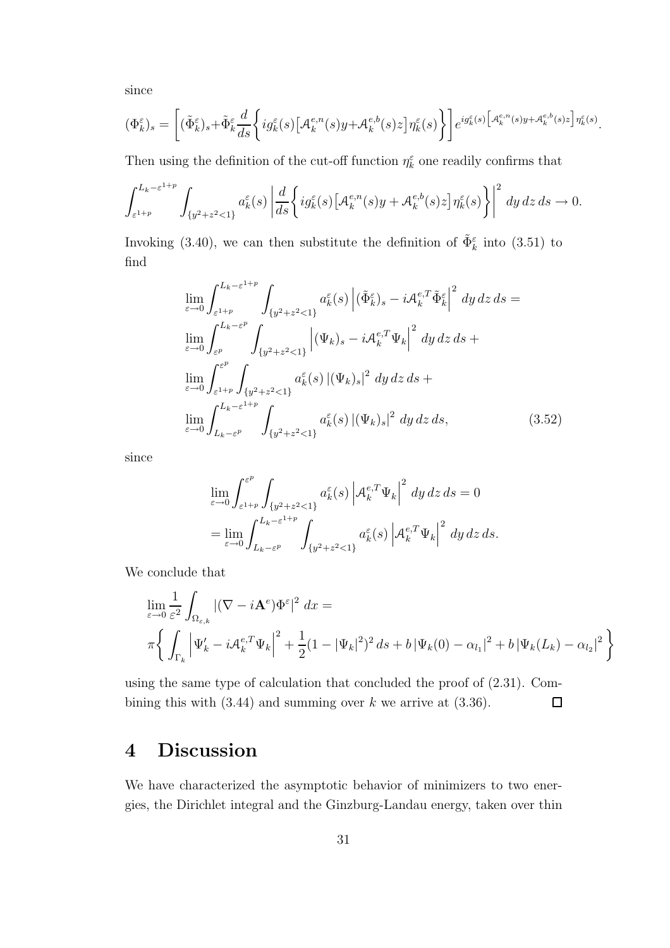since

$$
(\Phi_k^{\varepsilon})_s = \left[ (\tilde{\Phi}_k^{\varepsilon})_s + \tilde{\Phi}_k^{\varepsilon} \frac{d}{ds} \bigg\{ ig_k^{\varepsilon}(s) \big[ \mathcal{A}_k^{e,n}(s) y + \mathcal{A}_k^{e,b}(s) z \big] \eta_k^{\varepsilon}(s) \bigg\} \right] e^{ig_k^{\varepsilon}(s) \big[ \mathcal{A}_k^{e,n}(s) y + \mathcal{A}_k^{e,b}(s) z \big] \eta_k^{\varepsilon}(s)}.
$$

Then using the definition of the cut-off function  $\eta_k^{\varepsilon}$  one readily confirms that

$$
\int_{\varepsilon^{1+p}}^{L_k-\varepsilon^{1+p}} \int_{\{y^2+z^2<1\}} a_k^{\varepsilon}(s) \left| \frac{d}{ds} \left\{ ig_k^{\varepsilon}(s) \left[ \mathcal{A}_k^{e,n}(s) y + \mathcal{A}_k^{e,b}(s) z \right] \eta_k^{\varepsilon}(s) \right\} \right|^2 dy \, dz \, ds \to 0.
$$

Invoking (3.40), we can then substitute the definition of  $\tilde{\Phi}_k^{\varepsilon}$  into (3.51) to find

$$
\lim_{\varepsilon \to 0} \int_{\varepsilon^{1+p}}^{L_k - \varepsilon^{1+p}} \int_{\{y^2 + z^2 < 1\}} a_k^{\varepsilon}(s) \left| (\tilde{\Phi}_k^{\varepsilon})_s - i \mathcal{A}_k^{e,T} \tilde{\Phi}_k^{\varepsilon} \right|^2 dy dz ds =
$$
\n
$$
\lim_{\varepsilon \to 0} \int_{\varepsilon^p}^{L_k - \varepsilon^p} \int_{\{y^2 + z^2 < 1\}} \left| (\Psi_k)_s - i \mathcal{A}_k^{e,T} \Psi_k \right|^2 dy dz ds +
$$
\n
$$
\lim_{\varepsilon \to 0} \int_{\varepsilon^{1+p}}^{\varepsilon^p} \int_{\{y^2 + z^2 < 1\}} a_k^{\varepsilon}(s) \left| (\Psi_k)_s \right|^2 dy dz ds +
$$
\n
$$
\lim_{\varepsilon \to 0} \int_{L_k - \varepsilon^p}^{L_k - \varepsilon^{1+p}} \int_{\{y^2 + z^2 < 1\}} a_k^{\varepsilon}(s) \left| (\Psi_k)_s \right|^2 dy dz ds, \tag{3.52}
$$

since

$$
\lim_{\varepsilon \to 0} \int_{\varepsilon^{1+p}}^{\varepsilon^p} \int_{\{y^2 + z^2 < 1\}} a_k^{\varepsilon}(s) \left| \mathcal{A}_k^{e,T} \Psi_k \right|^2 dy \, dz \, ds = 0
$$
\n
$$
= \lim_{\varepsilon \to 0} \int_{L_k - \varepsilon^p}^{L_k - \varepsilon^{1+p}} \int_{\{y^2 + z^2 < 1\}} a_k^{\varepsilon}(s) \left| \mathcal{A}_k^{e,T} \Psi_k \right|^2 dy \, dz \, ds.
$$

We conclude that

$$
\lim_{\varepsilon \to 0} \frac{1}{\varepsilon^2} \int_{\Omega_{\varepsilon,k}} |(\nabla - i\mathbf{A}^e) \Phi^{\varepsilon}|^2 dx =
$$
\n
$$
\pi \left\{ \int_{\Gamma_k} \left| \Psi_k' - i \mathcal{A}_k^{e,T} \Psi_k \right|^2 + \frac{1}{2} (1 - |\Psi_k|^2)^2 ds + b |\Psi_k(0) - \alpha_{l_1}|^2 + b |\Psi_k(L_k) - \alpha_{l_2}|^2 \right\}
$$

using the same type of calculation that concluded the proof of (2.31). Combining this with  $(3.44)$  and summing over k we arrive at  $(3.36)$ .  $\Box$ 

## **4 Discussion**

We have characterized the asymptotic behavior of minimizers to two energies, the Dirichlet integral and the Ginzburg-Landau energy, taken over thin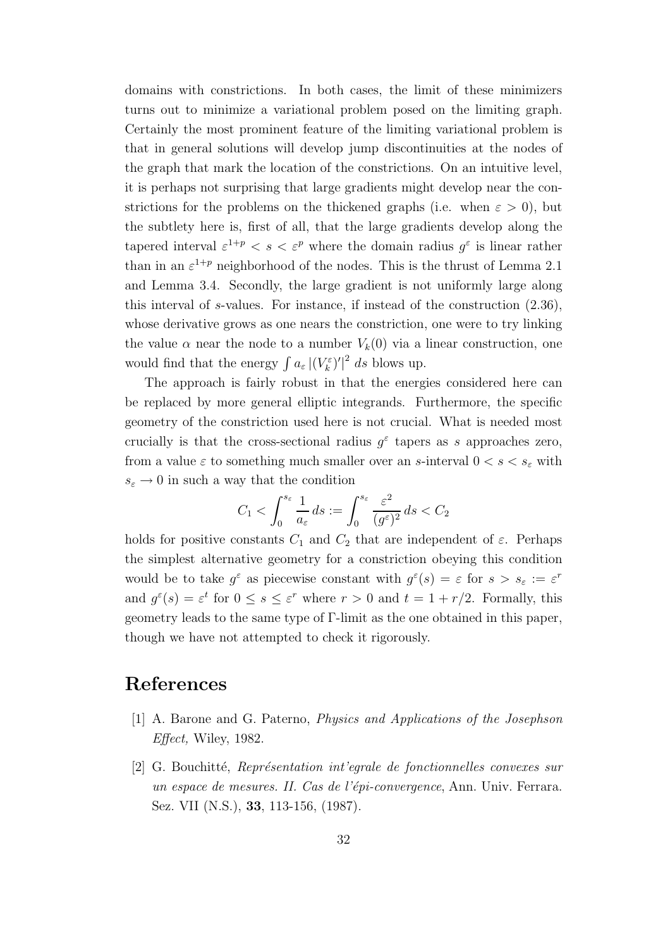domains with constrictions. In both cases, the limit of these minimizers turns out to minimize a variational problem posed on the limiting graph. Certainly the most prominent feature of the limiting variational problem is that in general solutions will develop jump discontinuities at the nodes of the graph that mark the location of the constrictions. On an intuitive level, it is perhaps not surprising that large gradients might develop near the constrictions for the problems on the thickened graphs (i.e. when  $\varepsilon > 0$ ), but the subtlety here is, first of all, that the large gradients develop along the tapered interval  $\varepsilon^{1+p} < s < \varepsilon^p$  where the domain radius  $g^{\varepsilon}$  is linear rather than in an  $\varepsilon^{1+p}$  neighborhood of the nodes. This is the thrust of Lemma 2.1 and Lemma 3.4. Secondly, the large gradient is not uniformly large along this interval of s-values. For instance, if instead of the construction  $(2.36)$ , whose derivative grows as one nears the constriction, one were to try linking the value  $\alpha$  near the node to a number  $V_k(0)$  via a linear construction, one would find that the energy  $\int a_{\varepsilon} |(V_{k}^{\varepsilon})'|^{2} ds$  blows up.

The approach is fairly robust in that the energies considered here can be replaced by more general elliptic integrands. Furthermore, the specific geometry of the constriction used here is not crucial. What is needed most crucially is that the cross-sectional radius  $g^{\varepsilon}$  tapers as s approaches zero, from a value  $\varepsilon$  to something much smaller over an s-interval  $0 < s < s_{\varepsilon}$  with  $s_{\varepsilon} \to 0$  in such a way that the condition

$$
C_1 < \int_0^{s_{\varepsilon}} \frac{1}{a_{\varepsilon}} ds := \int_0^{s_{\varepsilon}} \frac{\varepsilon^2}{(g^{\varepsilon})^2} ds < C_2
$$

holds for positive constants  $C_1$  and  $C_2$  that are independent of  $\varepsilon$ . Perhaps the simplest alternative geometry for a constriction obeying this condition would be to take  $g^{\varepsilon}$  as piecewise constant with  $g^{\varepsilon}(s) = \varepsilon$  for  $s > s_{\varepsilon} := \varepsilon^{r}$ and  $g^{\varepsilon}(s) = \varepsilon^{t}$  for  $0 \leq s \leq \varepsilon^{r}$  where  $r > 0$  and  $t = 1 + r/2$ . Formally, this geometry leads to the same type of Γ-limit as the one obtained in this paper, though we have not attempted to check it rigorously.

#### **References**

- [1] A. Barone and G. Paterno, Physics and Applications of the Josephson Effect, Wiley, 1982.
- $[2]$  G. Bouchitté, Représentation int'egrale de fonctionnelles convexes sur un espace de mesures. II. Cas de l'épi-convergence, Ann. Univ. Ferrara. Sez. VII (N.S.), **33**, 113-156, (1987).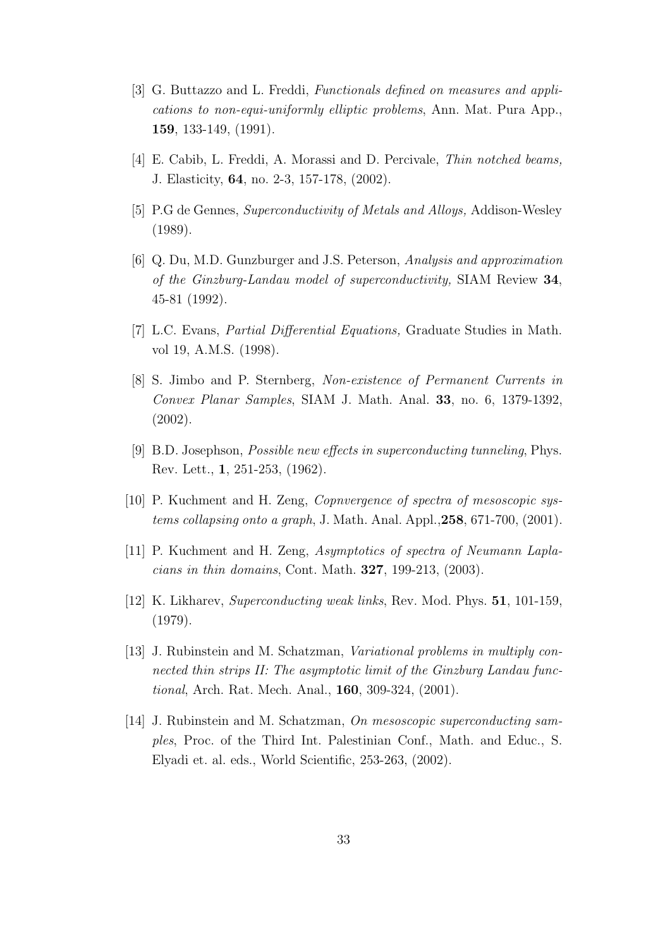- [3] G. Buttazzo and L. Freddi, Functionals defined on measures and applications to non-equi-uniformly elliptic problems, Ann. Mat. Pura App., **159**, 133-149, (1991).
- [4] E. Cabib, L. Freddi, A. Morassi and D. Percivale, Thin notched beams, J. Elasticity, **64**, no. 2-3, 157-178, (2002).
- [5] P.G de Gennes, Superconductivity of Metals and Alloys, Addison-Wesley (1989).
- [6] Q. Du, M.D. Gunzburger and J.S. Peterson, Analysis and approximation of the Ginzburg-Landau model of superconductivity, SIAM Review **34**, 45-81 (1992).
- [7] L.C. Evans, Partial Differential Equations, Graduate Studies in Math. vol 19, A.M.S. (1998).
- [8] S. Jimbo and P. Sternberg, Non-existence of Permanent Currents in Convex Planar Samples, SIAM J. Math. Anal. **33**, no. 6, 1379-1392, (2002).
- [9] B.D. Josephson, Possible new effects in superconducting tunneling, Phys. Rev. Lett., **1**, 251-253, (1962).
- [10] P. Kuchment and H. Zeng, Copnvergence of spectra of mesoscopic systems collapsing onto a graph, J. Math. Anal. Appl.,**258**, 671-700, (2001).
- [11] P. Kuchment and H. Zeng, Asymptotics of spectra of Neumann Laplacians in thin domains, Cont. Math. **327**, 199-213, (2003).
- [12] K. Likharev, Superconducting weak links, Rev. Mod. Phys. **51**, 101-159, (1979).
- [13] J. Rubinstein and M. Schatzman, Variational problems in multiply connected thin strips II: The asymptotic limit of the Ginzburg Landau functional, Arch. Rat. Mech. Anal., **160**, 309-324, (2001).
- [14] J. Rubinstein and M. Schatzman, On mesoscopic superconducting samples, Proc. of the Third Int. Palestinian Conf., Math. and Educ., S. Elyadi et. al. eds., World Scientific, 253-263, (2002).